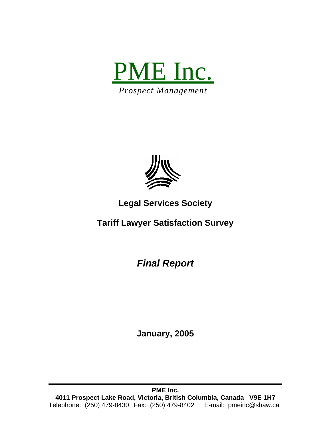



# **Legal Services Society**

**Tariff Lawyer Satisfaction Survey** 

*Final Report* 

**January, 2005**

**PME Inc. 4011 Prospect Lake Road, Victoria, British Columbia, Canada V9E 1H7**  Telephone: (250) 479-8430 Fax: (250) 479-8402 E-mail: pmeinc@shaw.ca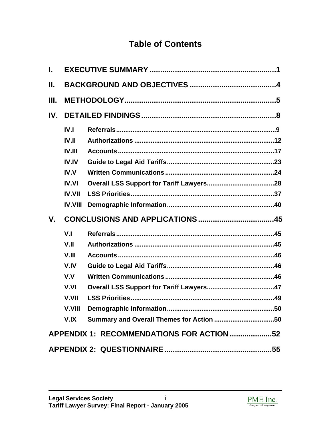# **Table of Contents**

| L.      |                |                                           |  |
|---------|----------------|-------------------------------------------|--|
| Ш.      |                |                                           |  |
| III.    |                |                                           |  |
| IV.     |                |                                           |  |
|         | IV.1           |                                           |  |
|         | <b>IV.II</b>   |                                           |  |
|         | IV.III         |                                           |  |
|         | <b>IV.IV</b>   |                                           |  |
|         | IV.V           |                                           |  |
|         | <b>IV.VI</b>   |                                           |  |
|         | <b>IV.VII</b>  |                                           |  |
|         | <b>IV.VIII</b> |                                           |  |
|         |                |                                           |  |
| $V_{-}$ |                |                                           |  |
|         | V <sub>1</sub> |                                           |  |
|         | V.II           |                                           |  |
|         | V.III          |                                           |  |
|         | V.IV           |                                           |  |
|         | V.V            |                                           |  |
|         | V.VI           |                                           |  |
|         | V.VII          |                                           |  |
|         | V.VIII         |                                           |  |
|         | V.IX           | Summary and Overall Themes for Action 50  |  |
|         |                | APPENDIX 1: RECOMMENDATIONS FOR ACTION 52 |  |

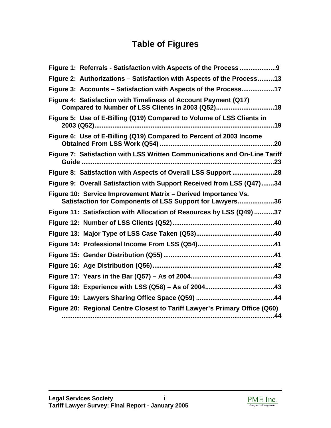# **Table of Figures**

| Figure 2: Authorizations - Satisfaction with Aspects of the Process13                                                      |
|----------------------------------------------------------------------------------------------------------------------------|
| Figure 3: Accounts – Satisfaction with Aspects of the Process17                                                            |
| Figure 4: Satisfaction with Timeliness of Account Payment (Q17)<br>Compared to Number of LSS Clients in 2003 (Q52)18       |
| Figure 5: Use of E-Billing (Q19) Compared to Volume of LSS Clients in                                                      |
| Figure 6: Use of E-Billing (Q19) Compared to Percent of 2003 Income                                                        |
| Figure 7: Satisfaction with LSS Written Communications and On-Line Tariff                                                  |
|                                                                                                                            |
| Figure 9: Overall Satisfaction with Support Received from LSS (Q47)34                                                      |
| Figure 10: Service Improvement Matrix - Derived Importance Vs.<br>Satisfaction for Components of LSS Support for Lawyers36 |
| Figure 11: Satisfaction with Allocation of Resources by LSS (Q49) 37                                                       |
|                                                                                                                            |
|                                                                                                                            |
|                                                                                                                            |
|                                                                                                                            |
|                                                                                                                            |
|                                                                                                                            |
|                                                                                                                            |
|                                                                                                                            |
| Figure 20: Regional Centre Closest to Tariff Lawyer's Primary Office (Q60)                                                 |

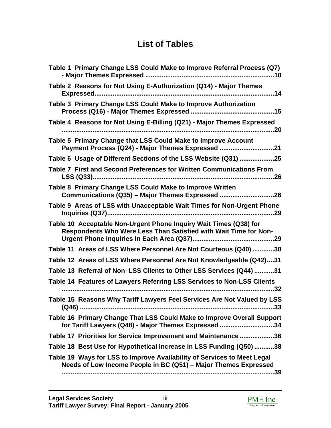# **List of Tables**

| Table 1 Primary Change LSS Could Make to Improve Referral Process (Q7)                                                                     |
|--------------------------------------------------------------------------------------------------------------------------------------------|
| Table 2 Reasons for Not Using E-Authorization (Q14) - Major Themes                                                                         |
| Table 3 Primary Change LSS Could Make to Improve Authorization                                                                             |
| Table 4 Reasons for Not Using E-Billing (Q21) - Major Themes Expressed                                                                     |
| Table 5 Primary Change that LSS Could Make to Improve Account<br>Payment Process (Q24) - Major Themes Expressed 21                         |
| Table 6 Usage of Different Sections of the LSS Website (Q31) 25                                                                            |
| Table 7 First and Second Preferences for Written Communications From                                                                       |
| Table 8 Primary Change LSS Could Make to Improve Written<br>Communications (Q35) - Major Themes Expressed 26                               |
| Table 9 Areas of LSS with Unacceptable Wait Times for Non-Urgent Phone                                                                     |
| Table 10 Acceptable Non-Urgent Phone Inquiry Wait Times (Q38) for<br>Respondents Who Were Less Than Satisfied with Wait Time for Non-      |
| Table 11 Areas of LSS Where Personnel Are Not Courteous (Q40)30                                                                            |
| Table 12 Areas of LSS Where Personnel Are Not Knowledgeable (Q42)31                                                                        |
| Table 13 Referral of Non-LSS Clients to Other LSS Services (Q44) 31                                                                        |
| Table 14 Features of Lawyers Referring LSS Services to Non-LSS Clients                                                                     |
| Table 15 Reasons Why Tariff Lawyers Feel Services Are Not Valued by LSS                                                                    |
| Table 16 Primary Change That LSS Could Make to Improve Overall Support<br>for Tariff Lawyers (Q48) - Major Themes Expressed 34             |
| Table 17 Priorities for Service Improvement and Maintenance 36                                                                             |
| Table 18 Best Use for Hypothetical Increase in LSS Funding (Q50) 38                                                                        |
| Table 19 Ways for LSS to Improve Availability of Services to Meet Legal<br>Needs of Low Income People in BC (Q51) - Major Themes Expressed |
|                                                                                                                                            |

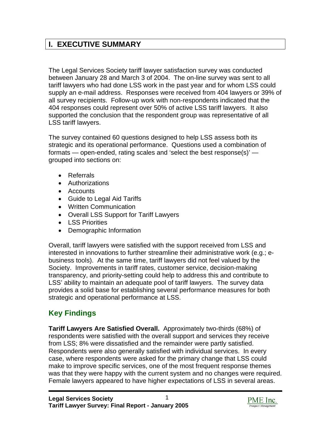## <span id="page-4-0"></span>**I. EXECUTIVE SUMMARY**

The Legal Services Society tariff lawyer satisfaction survey was conducted between January 28 and March 3 of 2004. The on-line survey was sent to all tariff lawyers who had done LSS work in the past year and for whom LSS could supply an e-mail address. Responses were received from 404 lawyers or 39% of all survey recipients. Follow-up work with non-respondents indicated that the 404 responses could represent over 50% of active LSS tariff lawyers. It also supported the conclusion that the respondent group was representative of all LSS tariff lawyers.

The survey contained 60 questions designed to help LSS assess both its strategic and its operational performance. Questions used a combination of formats — open-ended, rating scales and 'select the best response(s)' grouped into sections on:

- Referrals
- Authorizations
- Accounts
- Guide to Legal Aid Tariffs
- Written Communication
- Overall LSS Support for Tariff Lawyers
- LSS Priorities
- Demographic Information

Overall, tariff lawyers were satisfied with the support received from LSS and interested in innovations to further streamline their administrative work (e.g.; ebusiness tools). At the same time, tariff lawyers did not feel valued by the Society. Improvements in tariff rates, customer service, decision-making transparency, and priority-setting could help to address this and contribute to LSS' ability to maintain an adequate pool of tariff lawyers. The survey data provides a solid base for establishing several performance measures for both strategic and operational performance at LSS.

## **Key Findings**

**Tariff Lawyers Are Satisfied Overall.** Approximately two-thirds (68%) of respondents were satisfied with the overall support and services they receive from LSS; 8% were dissatisfied and the remainder were partly satisfied. Respondents were also generally satisfied with individual services. In every case, where respondents were asked for the primary change that LSS could make to improve specific services, one of the most frequent response themes was that they were happy with the current system and no changes were required. Female lawyers appeared to have higher expectations of LSS in several areas.

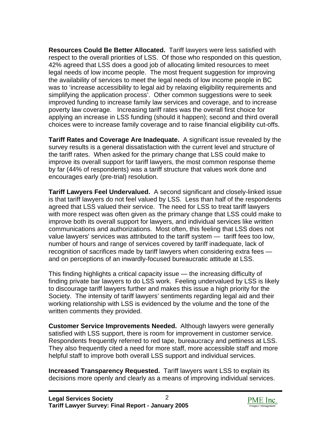**Resources Could Be Better Allocated.** Tariff lawyers were less satisfied with respect to the overall priorities of LSS. Of those who responded on this question, 42% agreed that LSS does a good job of allocating limited resources to meet legal needs of low income people. The most frequent suggestion for improving the availability of services to meet the legal needs of low income people in BC was to 'increase accessibility to legal aid by relaxing eligibility requirements and simplifying the application process'. Other common suggestions were to seek improved funding to increase family law services and coverage, and to increase poverty law coverage. Increasing tariff rates was the overall first choice for applying an increase in LSS funding (should it happen); second and third overall choices were to increase family coverage and to raise financial eligibility cut-offs.

**Tariff Rates and Coverage Are Inadequate.** A significant issue revealed by the survey results is a general dissatisfaction with the current level and structure of the tariff rates. When asked for the primary change that LSS could make to improve its overall support for tariff lawyers, the most common response theme by far (44% of respondents) was a tariff structure that values work done and encourages early (pre-trial) resolution.

**Tariff Lawyers Feel Undervalued.** A second significant and closely-linked issue is that tariff lawyers do not feel valued by LSS. Less than half of the respondents agreed that LSS valued their service. The need for LSS to treat tariff lawyers with more respect was often given as the primary change that LSS could make to improve both its overall support for lawyers, and individual services like written communications and authorizations. Most often, this feeling that LSS does not value lawyers' services was attributed to the tariff system — tariff fees too low, number of hours and range of services covered by tariff inadequate, lack of recognition of sacrifices made by tariff lawyers when considering extra fees and on perceptions of an inwardly-focused bureaucratic attitude at LSS.

This finding highlights a critical capacity issue — the increasing difficulty of finding private bar lawyers to do LSS work. Feeling undervalued by LSS is likely to discourage tariff lawyers further and makes this issue a high priority for the Society. The intensity of tariff lawyers' sentiments regarding legal aid and their working relationship with LSS is evidenced by the volume and the tone of the written comments they provided.

**Customer Service Improvements Needed.** Although lawyers were generally satisfied with LSS support, there is room for improvement in customer service. Respondents frequently referred to red tape, bureaucracy and pettiness at LSS. They also frequently cited a need for more staff, more accessible staff and more helpful staff to improve both overall LSS support and individual services.

**Increased Transparency Requested.** Tariff lawyers want LSS to explain its decisions more openly and clearly as a means of improving individual services.

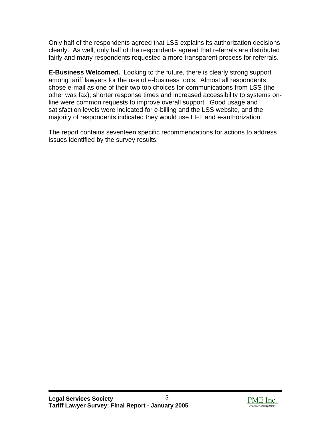Only half of the respondents agreed that LSS explains its authorization decisions clearly. As well, only half of the respondents agreed that referrals are distributed fairly and many respondents requested a more transparent process for referrals.

**E-Business Welcomed.** Looking to the future, there is clearly strong support among tariff lawyers for the use of e-business tools. Almost all respondents chose e-mail as one of their two top choices for communications from LSS (the other was fax); shorter response times and increased accessibility to systems online were common requests to improve overall support. Good usage and satisfaction levels were indicated for e-billing and the LSS website, and the majority of respondents indicated they would use EFT and e-authorization.

The report contains seventeen specific recommendations for actions to address issues identified by the survey results.

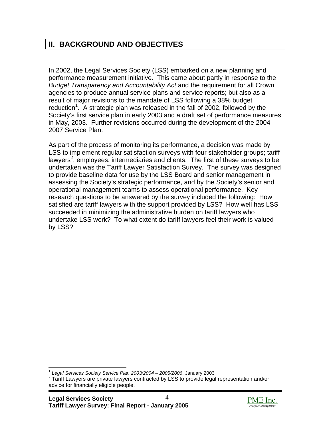## <span id="page-7-0"></span>**II. BACKGROUND AND OBJECTIVES**

In 2002, the Legal Services Society (LSS) embarked on a new planning and performance measurement initiative. This came about partly in response to the *Budget Transparency and Accountability Act* and the requirement for all Crown agencies to produce annual service plans and service reports; but also as a result of major revisions to the mandate of LSS following a 38% budget reduction<sup>[1](#page-7-1)</sup>. A strategic plan was released in the fall of 2002, followed by the Society's first service plan in early 2003 and a draft set of performance measures in May, 2003. Further revisions occurred during the development of the 2004- 2007 Service Plan.

As part of the process of monitoring its performance, a decision was made by LSS to implement regular satisfaction surveys with four stakeholder groups; tariff lawyers<sup>[2](#page-7-2)</sup>, employees, intermediaries and clients. The first of these surveys to be undertaken was the Tariff Lawyer Satisfaction Survey. The survey was designed to provide baseline data for use by the LSS Board and senior management in assessing the Society's strategic performance, and by the Society's senior and operational management teams to assess operational performance. Key research questions to be answered by the survey included the following: How satisfied are tariff lawyers with the support provided by LSS? How well has LSS succeeded in minimizing the administrative burden on tariff lawyers who undertake LSS work? To what extent do tariff lawyers feel their work is valued by LSS?



<span id="page-7-2"></span><span id="page-7-1"></span>

<sup>&</sup>lt;sup>1</sup> Legal Services Society Service Plan 2003/2004 – 2005/2006, January 2003<br><sup>2</sup> Tariff Lawyers are private lawyers contracted by LSS to provide legal representation and/or advice for financially eligible people.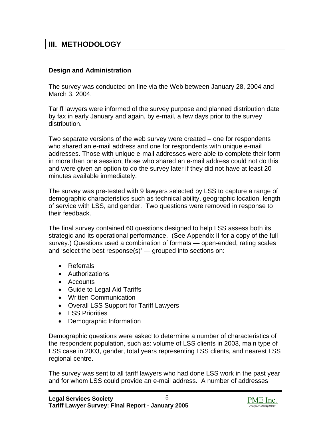## <span id="page-8-0"></span>**III. METHODOLOGY**

#### **Design and Administration**

The survey was conducted on-line via the Web between January 28, 2004 and March 3, 2004.

Tariff lawyers were informed of the survey purpose and planned distribution date by fax in early January and again, by e-mail, a few days prior to the survey distribution.

Two separate versions of the web survey were created – one for respondents who shared an e-mail address and one for respondents with unique e-mail addresses. Those with unique e-mail addresses were able to complete their form in more than one session; those who shared an e-mail address could not do this and were given an option to do the survey later if they did not have at least 20 minutes available immediately.

The survey was pre-tested with 9 lawyers selected by LSS to capture a range of demographic characteristics such as technical ability, geographic location, length of service with LSS, and gender. Two questions were removed in response to their feedback.

The final survey contained 60 questions designed to help LSS assess both its strategic and its operational performance. (See Appendix II for a copy of the full survey.) Questions used a combination of formats — open-ended, rating scales and 'select the best response(s)' — grouped into sections on:

- Referrals
- Authorizations
- Accounts
- Guide to Legal Aid Tariffs
- Written Communication
- Overall LSS Support for Tariff Lawyers
- LSS Priorities
- Demographic Information

Demographic questions were asked to determine a number of characteristics of the respondent population, such as: volume of LSS clients in 2003, main type of LSS case in 2003, gender, total years representing LSS clients, and nearest LSS regional centre.

The survey was sent to all tariff lawyers who had done LSS work in the past year and for whom LSS could provide an e-mail address. A number of addresses

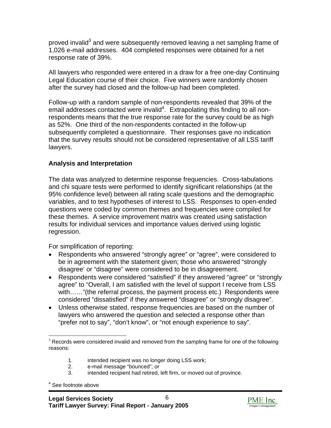proved invalid<sup>[3](#page-9-0)</sup> and were subsequently removed leaving a net sampling frame of 1,026 e-mail addresses. 404 completed responses were obtained for a net response rate of 39%.

All lawyers who responded were entered in a draw for a free one-day Continuing Legal Education course of their choice. Five winners were randomly chosen after the survey had closed and the follow-up had been completed.

Follow-up with a random sample of non-respondents revealed that 39% of the email addresses contacted were invalid<sup>[4](#page-9-1)</sup>. Extrapolating this finding to all nonrespondents means that the true response rate for the survey could be as high as 52%. One third of the non-respondents contacted in the follow-up subsequently completed a questionnaire. Their responses gave no indication that the survey results should not be considered representative of all LSS tariff lawyers.

#### **Analysis and Interpretation**

The data was analyzed to determine response frequencies. Cross-tabulations and chi square tests were performed to identify significant relationships (at the 95% confidence level) between all rating scale questions and the demographic variables, and to test hypotheses of interest to LSS. Responses to open-ended questions were coded by common themes and frequencies were compiled for these themes. A service improvement matrix was created using satisfaction results for individual services and importance values derived using logistic regression.

For simplification of reporting:

- Respondents who answered "strongly agree" or "agree", were considered to be in agreement with the statement given; those who answered "strongly disagree' or "disagree" were considered to be in disagreement.
- Respondents were considered "satisfied" if they answered "agree" or "strongly agree" to "Overall, I am satisfied with the level of support I receive from LSS with……"(the referral process, the payment process etc.) Respondents were considered "dissatisfied" if they answered "disagree" or "strongly disagree".
- Unless otherwise stated, response frequencies are based on the number of lawyers who answered the question and selected a response other than "prefer not to say", "don't know", or "not enough experience to say".

- 1. intended recipient was no longer doing LSS work;
- 2. e-mail message "bounced"; or
- 3. intended recipient had retired, left firm, or moved out of province.

<span id="page-9-1"></span>4 See footnote above



<span id="page-9-0"></span> $3$  Records were considered invalid and removed from the sampling frame for one of the following reasons: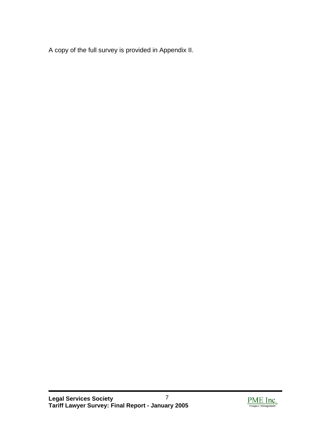A copy of the full survey is provided in Appendix II.

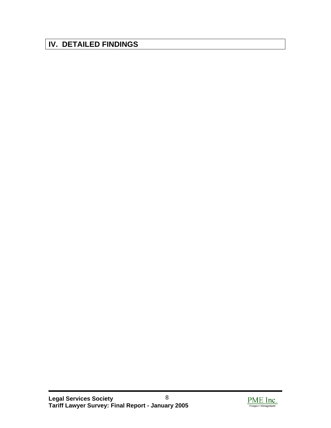# <span id="page-11-0"></span>**IV. DETAILED FINDINGS**

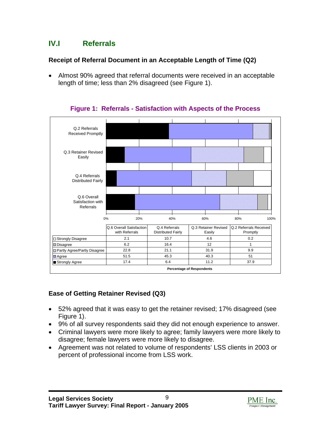## <span id="page-12-1"></span><span id="page-12-0"></span>**IV.I Referrals**

### **Receipt of Referral Document in an Acceptable Length of Time (Q2)**

• Almost 90% agreed that referral documents were received in an acceptable length of time; less than 2% disagreed (see Figure 1).

| Q.2 Referrals<br><b>Received Promptly</b>     |                                            |                                            |                                  |                                |                                    |      |
|-----------------------------------------------|--------------------------------------------|--------------------------------------------|----------------------------------|--------------------------------|------------------------------------|------|
| Q.3 Retainer Revised<br>Easily                |                                            |                                            |                                  |                                |                                    |      |
| Q.4 Referrals<br><b>Distributed Fairly</b>    |                                            |                                            |                                  |                                |                                    |      |
| Q.6 Overall<br>Satisfaction with<br>Referrals |                                            |                                            |                                  |                                |                                    |      |
|                                               | 0%<br>20%                                  | 40%                                        |                                  | 60%                            | 80%                                | 100% |
|                                               | Q.6 Overall Satisfaction<br>with Referrals | Q.4 Referrals<br><b>Distributed Fairly</b> |                                  | Q.3 Retainer Revised<br>Easily | Q.2 Referrals Received<br>Promptly |      |
| □ Strongly Disagree                           | 2.1                                        | 10.7                                       |                                  | 4.6                            | 0.2                                |      |
| <b>Disagree</b>                               | 6.2                                        | 16.4                                       |                                  | 12                             | 1                                  |      |
| Partly Agree/Partly Disagree                  | 22.8                                       | 21.1                                       |                                  | 31.9                           | 9.9                                |      |
| <b>□</b> Agree                                | 51.5                                       | 45.3                                       |                                  | 40.3                           | 51                                 |      |
| Strongly Agree                                | 17.4                                       | 6.4                                        |                                  | 11.2                           | 37.9                               |      |
|                                               |                                            |                                            | <b>Percentage of Respondents</b> |                                |                                    |      |

**Figure 1: Referrals - Satisfaction with Aspects of the Process** 

## **Ease of Getting Retainer Revised (Q3)**

- 52% agreed that it was easy to get the retainer revised; 17% disagreed (see Figure 1).
- 9% of all survey respondents said they did not enough experience to answer.
- Criminal lawyers were more likely to agree; family lawyers were more likely to disagree; female lawyers were more likely to disagree.
- Agreement was not related to volume of respondents' LSS clients in 2003 or percent of professional income from LSS work.

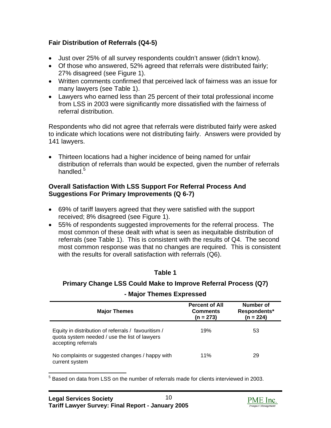## <span id="page-13-1"></span><span id="page-13-0"></span>**Fair Distribution of Referrals (Q4-5)**

- Just over 25% of all survey respondents couldn't answer (didn't know).
- Of those who answered, 52% agreed that referrals were distributed fairly; 27% disagreed (see Figure 1).
- Written comments confirmed that perceived lack of fairness was an issue for many lawyers (see Table 1).
- Lawyers who earned less than 25 percent of their total professional income from LSS in 2003 were significantly more dissatisfied with the fairness of referral distribution.

Respondents who did not agree that referrals were distributed fairly were asked to indicate which locations were not distributing fairly. Answers were provided by 141 lawyers.

• Thirteen locations had a higher incidence of being named for unfair distribution of referrals than would be expected, given the number of referrals handled. $5$ 

#### **Overall Satisfaction With LSS Support For Referral Process And Suggestions For Primary Improvements (Q 6-7)**

- 69% of tariff lawyers agreed that they were satisfied with the support received; 8% disagreed (see Figure 1).
- 55% of respondents suggested improvements for the referral process. The most common of these dealt with what is seen as inequitable distribution of referrals (see Table 1). This is consistent with the results of Q4. The second most common response was that no changes are required. This is consistent with the results for overall satisfaction with referrals (Q6).

#### **Table 1**

## **Primary Change LSS Could Make to Improve Referral Process (Q7)**

# **- Major Themes Expressed**

| <b>Major Themes</b>                                                                                                         | <b>Percent of All</b><br><b>Comments</b><br>$(n = 273)$ | Number of<br>Respondents*<br>$(n = 224)$ |
|-----------------------------------------------------------------------------------------------------------------------------|---------------------------------------------------------|------------------------------------------|
| Equity in distribution of referrals / favouritism /<br>quota system needed / use the list of lawyers<br>accepting referrals | 19%                                                     | 53                                       |
| No complaints or suggested changes / happy with<br>current system                                                           | 11%                                                     | 29                                       |

<span id="page-13-2"></span>5 Based on data from LSS on the number of referrals made for clients interviewed in 2003.

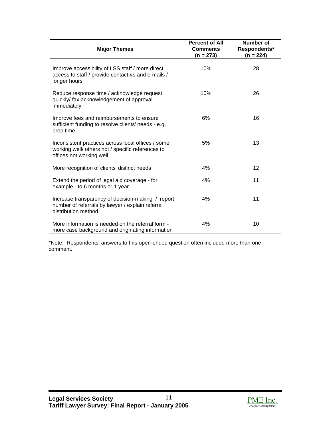| <b>Major Themes</b>                                                                                                                 | <b>Percent of All</b><br><b>Comments</b><br>(n = 273) | <b>Number of</b><br>Respondents*<br>$(n = 224)$ |
|-------------------------------------------------------------------------------------------------------------------------------------|-------------------------------------------------------|-------------------------------------------------|
| Improve accessibility of LSS staff / more direct<br>access to staff / provide contact #s and e-mails /<br>longer hours              | 10%                                                   | 28                                              |
| Reduce response time / acknowledge request<br>quickly/ fax acknowledgement of approval<br>immediately                               | 10%                                                   | 26                                              |
| Improve fees and reimbursements to ensure<br>sufficient funding to resolve clients' needs - e.g,<br>prep time                       | 6%                                                    | 16                                              |
| Inconsistent practices across local offices / some<br>working well/ others not / specific references to<br>offices not working well | 5%                                                    | 13                                              |
| More recognition of clients' distinct needs                                                                                         | 4%                                                    | 12                                              |
| Extend the period of legal aid coverage - for<br>example - to 6 months or 1 year                                                    | 4%                                                    | 11                                              |
| Increase transparency of decision-making / report<br>number of referrals by lawyer / explain referral<br>distribution method        | 4%                                                    | 11                                              |
| More information is needed on the referral form -<br>more case background and originating information                               | 4%                                                    | 10                                              |

\*Note: Respondents' answers to this open-ended question often included more than one comment.

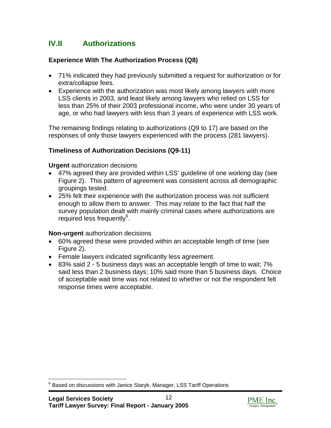## <span id="page-15-0"></span>**IV.II Authorizations**

### **Experience With The Authorization Process (Q8)**

- 71% indicated they had previously submitted a request for authorization or for extra/collapse fees.
- Experience with the authorization was most likely among lawyers with more LSS clients in 2003, and least likely among lawyers who relied on LSS for less than 25% of their 2003 professional income, who were under 30 years of age, or who had lawyers with less than 3 years of experience with LSS work.

The remaining findings relating to authorizations (Q9 to 17) are based on the responses of only those lawyers experienced with the process (281 lawyers).

#### **Timeliness of Authorization Decisions (Q9-11)**

**Urgent** authorization decisions

- 47% agreed they are provided within LSS' guideline of one working day (see Figure 2). This pattern of agreement was consistent across all demographic groupings tested.
- 25% felt their experience with the authorization process was not sufficient enough to allow them to answer. This may relate to the fact that half the survey population dealt with mainly criminal cases where authorizations are required less frequently<sup>[6](#page-15-1)</sup>.

#### **Non-urgent** authorization decisions

- 60% agreed these were provided within an acceptable length of time (see Figure 2).
- Female lawyers indicated significantly less agreement.
- 83% said 2 5 business days was an acceptable length of time to wait; 7% said less than 2 business days; 10% said more than 5 business days. Choice of acceptable wait time was not related to whether or not the respondent felt response times were acceptable.



<span id="page-15-1"></span>6 Based on discussions with Janice Staryk, Manager, LSS Tariff Operations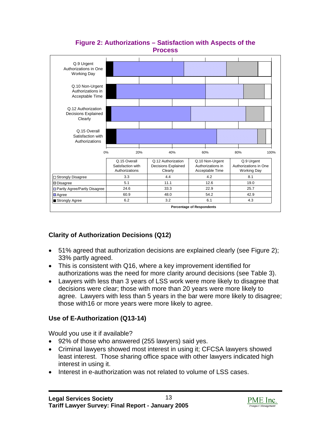<span id="page-16-0"></span>

#### **Figure 2: Authorizations – Satisfaction with Aspects of the Process**

## **Clarity of Authorization Decisions (Q12)**

- 51% agreed that authorization decisions are explained clearly (see Figure 2); 33% partly agreed.
- This is consistent with Q16, where a key improvement identified for authorizations was the need for more clarity around decisions (see Table 3).
- Lawyers with less than 3 years of LSS work were more likely to disagree that decisions were clear; those with more than 20 years were more likely to agree. Lawyers with less than 5 years in the bar were more likely to disagree; those with16 or more years were more likely to agree.

## **Use of E-Authorization (Q13-14)**

Would you use it if available?

- 92% of those who answered (255 lawyers) said yes.
- Criminal lawyers showed most interest in using it; CFCSA lawyers showed least interest. Those sharing office space with other lawyers indicated high interest in using it.
- Interest in e-authorization was not related to volume of LSS cases.

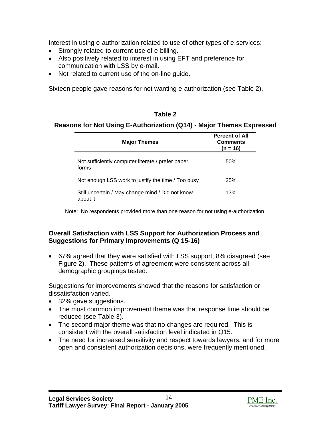<span id="page-17-1"></span><span id="page-17-0"></span>Interest in using e-authorization related to use of other types of e-services:

- Strongly related to current use of e-billing.
- Also positively related to interest in using EFT and preference for communication with LSS by e-mail.
- Not related to current use of the on-line guide.

Sixteen people gave reasons for not wanting e-authorization (see Table 2).

#### **Table 2**

#### **Reasons for Not Using E-Authorization (Q14) - Major Themes Expressed**

| <b>Major Themes</b>                                          | <b>Percent of All</b><br><b>Comments</b><br>$(n = 16)$ |
|--------------------------------------------------------------|--------------------------------------------------------|
| Not sufficiently computer literate / prefer paper<br>forms   | 50%                                                    |
| Not enough LSS work to justify the time / Too busy           | 25%                                                    |
| Still uncertain / May change mind / Did not know<br>about it | 13%                                                    |

Note: No respondents provided more than one reason for not using e-authorization.

## **Overall Satisfaction with LSS Support for Authorization Process and Suggestions for Primary Improvements (Q 15-16)**

• 67% agreed that they were satisfied with LSS support; 8% disagreed (see Figure 2). These patterns of agreement were consistent across all demographic groupings tested.

Suggestions for improvements showed that the reasons for satisfaction or dissatisfaction varied.

- 32% gave suggestions.
- The most common improvement theme was that response time should be reduced (see Table 3).
- The second major theme was that no changes are required. This is consistent with the overall satisfaction level indicated in Q15.
- The need for increased sensitivity and respect towards lawyers, and for more open and consistent authorization decisions, were frequently mentioned.

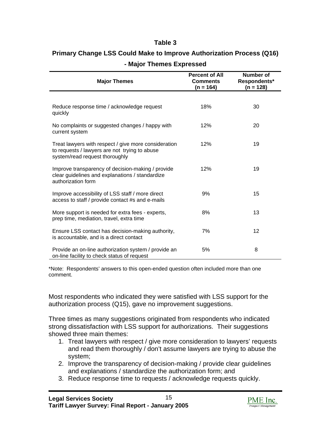#### **Table 3**

## <span id="page-18-0"></span>**Primary Change LSS Could Make to Improve Authorization Process (Q16) - Major Themes Expressed**

| <b>Major Themes</b>                                                                                                                     | <b>Percent of All</b><br><b>Comments</b><br>$(n = 164)$ | Number of<br>Respondents*<br>$(n = 128)$ |
|-----------------------------------------------------------------------------------------------------------------------------------------|---------------------------------------------------------|------------------------------------------|
|                                                                                                                                         |                                                         |                                          |
| Reduce response time / acknowledge request<br>quickly                                                                                   | 18%                                                     | 30                                       |
| No complaints or suggested changes / happy with<br>current system                                                                       | 12%                                                     | 20                                       |
| Treat lawyers with respect / give more consideration<br>to requests / lawyers are not trying to abuse<br>system/read request thoroughly | 12%                                                     | 19                                       |
| Improve transparency of decision-making / provide<br>clear guidelines and explanations / standardize<br>authorization form              | 12%                                                     | 19                                       |
| Improve accessibility of LSS staff / more direct<br>access to staff / provide contact #s and e-mails                                    | 9%                                                      | 15                                       |
| More support is needed for extra fees - experts,<br>prep time, mediation, travel, extra time                                            | 8%                                                      | 13                                       |
| Ensure LSS contact has decision-making authority,<br>is accountable, and is a direct contact                                            | 7%                                                      | 12                                       |
| Provide an on-line authorization system / provide an<br>on-line facility to check status of request                                     | 5%                                                      | 8                                        |

\*Note: Respondents' answers to this open-ended question often included more than one comment.

Most respondents who indicated they were satisfied with LSS support for the authorization process (Q15), gave no improvement suggestions.

Three times as many suggestions originated from respondents who indicated strong dissatisfaction with LSS support for authorizations. Their suggestions showed three main themes:

- 1. Treat lawyers with respect / give more consideration to lawyers' requests and read them thoroughly / don't assume lawyers are trying to abuse the system;
- 2. Improve the transparency of decision-making / provide clear guidelines and explanations / standardize the authorization form; and
- 3. Reduce response time to requests / acknowledge requests quickly.

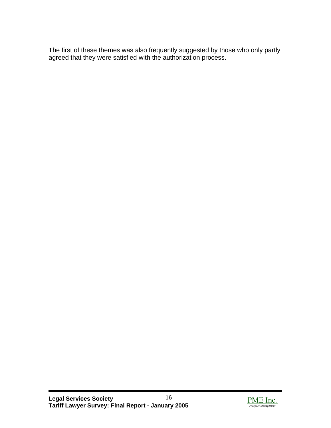The first of these themes was also frequently suggested by those who only partly agreed that they were satisfied with the authorization process.

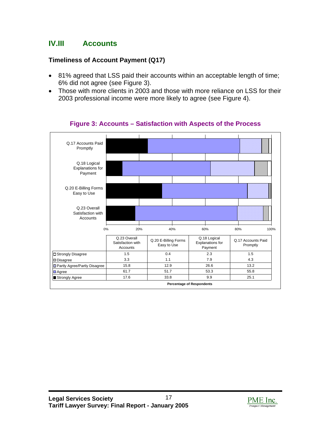## <span id="page-20-1"></span><span id="page-20-0"></span>**IV.III Accounts**

## **Timeliness of Account Payment (Q17)**

- 81% agreed that LSS paid their accounts within an acceptable length of time; 6% did not agree (see Figure 3).
- Those with more clients in 2003 and those with more reliance on LSS for their 2003 professional income were more likely to agree (see Figure 4).



### **Figure 3: Accounts – Satisfaction with Aspects of the Process**

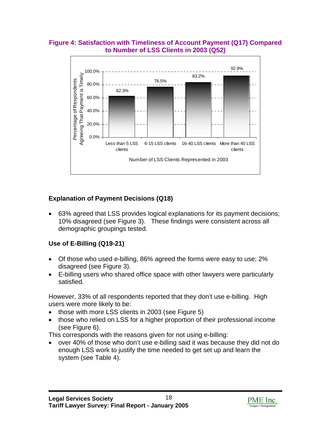#### <span id="page-21-0"></span>**Figure 4: Satisfaction with Timeliness of Account Payment (Q17) Compared to Number of LSS Clients in 2003 (Q52)**



## **Explanation of Payment Decisions (Q18)**

• 63% agreed that LSS provides logical explanations for its payment decisions; 10% disagreed (see Figure 3). These findings were consistent across all demographic groupings tested.

## **Use of E-Billing (Q19-21)**

- Of those who used e-billing, 86% agreed the forms were easy to use; 2% disagreed (see Figure 3).
- E-billing users who shared office space with other lawyers were particularly satisfied.

However, 33% of all respondents reported that they don't use e-billing. High users were more likely to be:

- those with more LSS clients in 2003 (see Figure 5)
- those who relied on LSS for a higher proportion of their professional income (see Figure 6).

This corresponds with the reasons given for not using e-billing:

• over 40% of those who don't use e-billing said it was because they did not do enough LSS work to justify the time needed to get set up and learn the system (see Table 4).

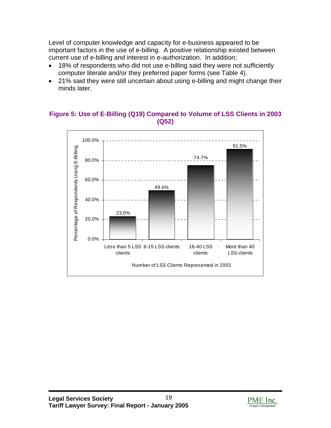<span id="page-22-1"></span><span id="page-22-0"></span>Level of computer knowledge and capacity for e-business appeared to be important factors in the use of e-billing. A positive relationship existed between current use of e-billing and interest in e-authorization. In addition;

- 18% of respondents who did not use e-billing said they were not sufficiently computer literate and/or they preferred paper forms (see Table 4).
- 21% said they were still uncertain about using e-billing and might change their minds later.

### **Figure 5: Use of E-Billing (Q19) Compared to Volume of LSS Clients in 2003 (Q52)**



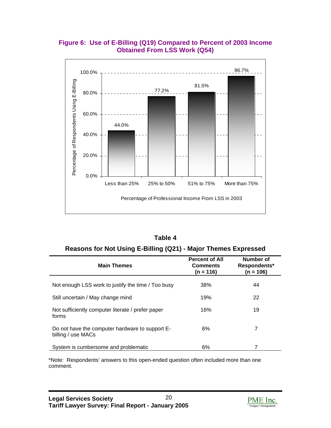#### <span id="page-23-1"></span><span id="page-23-0"></span>**Figure 6: Use of E-Billing (Q19) Compared to Percent of 2003 Income Obtained From LSS Work (Q54)**



| Table 4                                                        |  |
|----------------------------------------------------------------|--|
| Reasons for Not Using E-Billing (Q21) - Major Themes Expressed |  |

| <b>Main Themes</b>                                                    | <b>Percent of All</b><br><b>Comments</b><br>(n = 116) | Number of<br>Respondents*<br>$(n = 106)$ |
|-----------------------------------------------------------------------|-------------------------------------------------------|------------------------------------------|
| Not enough LSS work to justify the time / Too busy                    | 38%                                                   | 44                                       |
| Still uncertain / May change mind                                     | 19%                                                   | 22                                       |
| Not sufficiently computer literate / prefer paper<br>forms            | 16%                                                   | 19                                       |
| Do not have the computer hardware to support E-<br>billing / use MACs | 6%                                                    | 7                                        |
| System is cumbersome and problematic                                  | 6%                                                    |                                          |

\*Note: Respondents' answers to this open-ended question often included more than one comment.

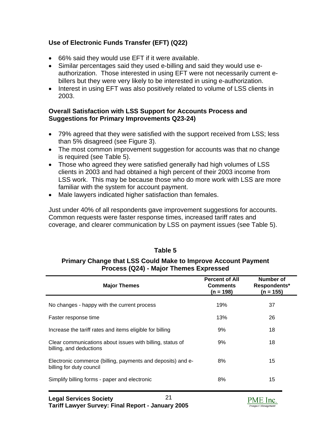## <span id="page-24-1"></span><span id="page-24-0"></span>**Use of Electronic Funds Transfer (EFT) (Q22)**

- 66% said they would use EFT if it were available.
- Similar percentages said they used e-billing and said they would use eauthorization. Those interested in using EFT were not necessarily current ebillers but they were very likely to be interested in using e-authorization.
- Interest in using EFT was also positively related to volume of LSS clients in 2003.

#### **Overall Satisfaction with LSS Support for Accounts Process and Suggestions for Primary Improvements Q23-24)**

- 79% agreed that they were satisfied with the support received from LSS; less than 5% disagreed (see Figure 3).
- The most common improvement suggestion for accounts was that no change is required (see Table 5).
- Those who agreed they were satisfied generally had high volumes of LSS clients in 2003 and had obtained a high percent of their 2003 income from LSS work. This may be because those who do more work with LSS are more familiar with the system for account payment.
- Male lawyers indicated higher satisfaction than females.

Just under 40% of all respondents gave improvement suggestions for accounts. Common requests were faster response times, increased tariff rates and coverage, and clearer communication by LSS on payment issues (see Table 5).

#### **Table 5**

#### **Primary Change that LSS Could Make to Improve Account Payment Process (Q24) - Major Themes Expressed**

| <b>Major Themes</b>                                                                     | <b>Percent of All</b><br><b>Comments</b><br>$(n = 198)$ | Number of<br>Respondents*<br>$(n = 155)$ |
|-----------------------------------------------------------------------------------------|---------------------------------------------------------|------------------------------------------|
| No changes - happy with the current process                                             | 19%                                                     | 37                                       |
| Faster response time                                                                    | 13%                                                     | 26                                       |
| Increase the tariff rates and items eligible for billing                                | 9%                                                      | 18                                       |
| Clear communications about issues with billing, status of<br>billing, and deductions    | 9%                                                      | 18                                       |
| Electronic commerce (billing, payments and deposits) and e-<br>billing for duty council | 8%                                                      | 15                                       |
| Simplify billing forms - paper and electronic                                           | 8%                                                      | 15                                       |
| 21<br><b>Legal Services Society</b>                                                     |                                                         | PME Inc                                  |

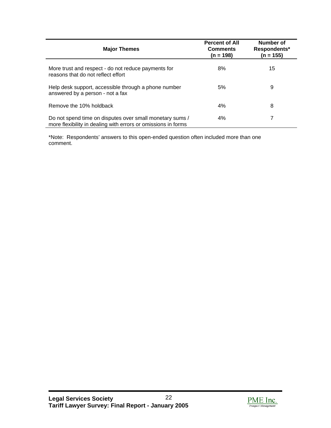| <b>Major Themes</b>                                                                                                       | <b>Percent of All</b><br><b>Comments</b><br>$(n = 198)$ | Number of<br>Respondents*<br>$(n = 155)$ |
|---------------------------------------------------------------------------------------------------------------------------|---------------------------------------------------------|------------------------------------------|
| More trust and respect - do not reduce payments for<br>reasons that do not reflect effort                                 | 8%                                                      | 15                                       |
| Help desk support, accessible through a phone number<br>answered by a person - not a fax                                  | 5%                                                      | 9                                        |
| Remove the 10% holdback                                                                                                   | 4%                                                      | 8                                        |
| Do not spend time on disputes over small monetary sums /<br>more flexibility in dealing with errors or omissions in forms | 4%                                                      |                                          |

\*Note: Respondents' answers to this open-ended question often included more than one comment.

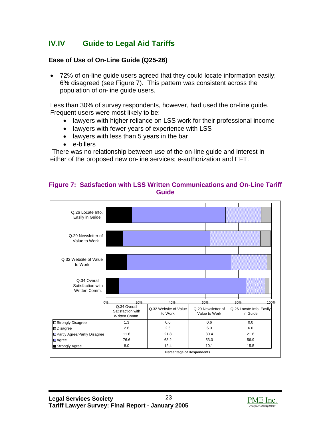## <span id="page-26-1"></span><span id="page-26-0"></span>**IV.IV Guide to Legal Aid Tariffs**

#### **Ease of Use of On-Line Guide (Q25-26)**

• 72% of on-line guide users agreed that they could locate information easily; 6% disagreed (see Figure 7). This pattern was consistent across the population of on-line guide users.

Less than 30% of survey respondents, however, had used the on-line guide. Frequent users were most likely to be:

- lawyers with higher reliance on LSS work for their professional income
- lawyers with fewer years of experience with LSS
- lawyers with less than 5 years in the bar
- e-billers

 There was no relationship between use of the on-line guide and interest in either of the proposed new on-line services; e-authorization and EFT.

#### **Figure 7: Satisfaction with LSS Written Communications and On-Line Tariff Guide**



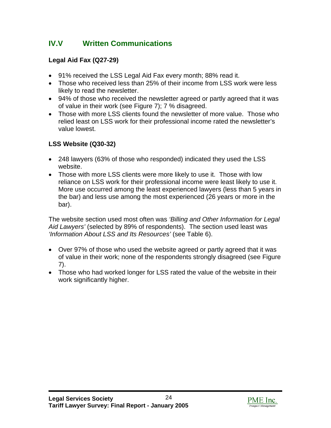## <span id="page-27-0"></span>**IV.V Written Communications**

## **Legal Aid Fax (Q27-29)**

- 91% received the LSS Legal Aid Fax every month; 88% read it.
- Those who received less than 25% of their income from LSS work were less likely to read the newsletter.
- 94% of those who received the newsletter agreed or partly agreed that it was of value in their work (see Figure 7); 7 % disagreed.
- Those with more LSS clients found the newsletter of more value. Those who relied least on LSS work for their professional income rated the newsletter's value lowest.

## **LSS Website (Q30-32)**

- 248 lawyers (63% of those who responded) indicated they used the LSS website.
- Those with more LSS clients were more likely to use it. Those with low reliance on LSS work for their professional income were least likely to use it. More use occurred among the least experienced lawyers (less than 5 years in the bar) and less use among the most experienced (26 years or more in the bar).

The website section used most often was *'Billing and Other Information for Legal Aid Lawyers'* (selected by 89% of respondents). The section used least was *'Information About LSS and Its Resources'* (see Table 6).

- Over 97% of those who used the website agreed or partly agreed that it was of value in their work; none of the respondents strongly disagreed (see Figure 7).
- Those who had worked longer for LSS rated the value of the website in their work significantly higher.

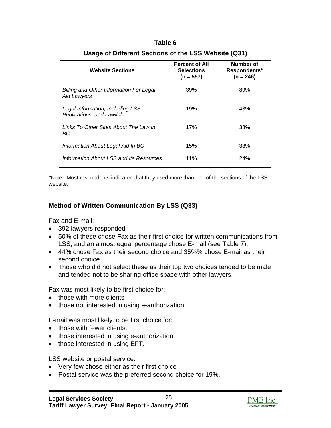<span id="page-28-0"></span>

| <b>Website Sections</b>                                              | <b>Percent of All</b><br><b>Selections</b><br>(n = 557) | Number of<br>Respondents*<br>(n = 246) |
|----------------------------------------------------------------------|---------------------------------------------------------|----------------------------------------|
| <b>Billing and Other Information For Legal</b><br><b>Aid Lawyers</b> | 39%                                                     | 89%                                    |
| Legal Information, Including LSS<br>Publications, and Lawlink        | 19%                                                     | 43%                                    |
| Links To Other Sites About The Law In<br>BC                          | 17%                                                     | 38%                                    |
| Information About Legal Aid In BC                                    | 15%                                                     | 33%                                    |
| Information About LSS and Its Resources                              | 11%                                                     | 24%                                    |

# **Table 6**

**Usage of Different Sections of the LSS Website (Q31)** 

\*Note: Most respondents indicated that they used more than one of the sections of the LSS website.

#### **Method of Written Communication By LSS (Q33)**

Fax and E-mail:

- 392 lawyers responded
- 50% of these chose Fax as their first choice for written communications from LSS, and an almost equal percentage chose E-mail (see Table 7).
- 44% chose Fax as their second choice and 35%% chose E-mail as their second choice.
- Those who did not select these as their top two choices tended to be male and tended not to be sharing office space with other lawyers.

Fax was most likely to be first choice for:

- those with more clients
- those not interested in using e-authorization

E-mail was most likely to be first choice for:

- those with fewer clients.
- those interested in using e-authorization
- those interested in using EFT.

LSS website or postal service:

- Very few chose either as their first choice
- Postal service was the preferred second choice for 19%.

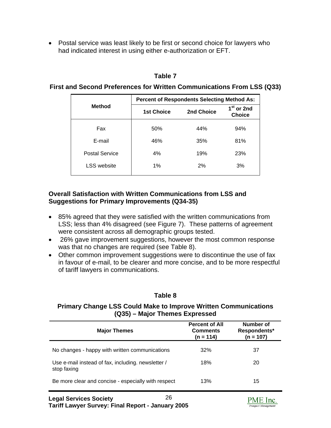<span id="page-29-1"></span><span id="page-29-0"></span>• Postal service was least likely to be first or second choice for lawyers who had indicated interest in using either e-authorization or EFT.

#### **Table 7**

#### **First and Second Preferences for Written Communications From LSS (Q33)**

|                | <b>Percent of Respondents Selecting Method As:</b> |            |                                         |
|----------------|----------------------------------------------------|------------|-----------------------------------------|
| <b>Method</b>  | <b>1st Choice</b>                                  | 2nd Choice | 1 <sup>st</sup> or 2nd<br><b>Choice</b> |
| Fax            | 50%                                                | 44%        | 94%                                     |
| E-mail         | 46%                                                | 35%        | 81%                                     |
| Postal Service | 4%                                                 | 19%        | 23%                                     |
| LSS website    | 1%                                                 | 2%         | 3%                                      |

#### **Overall Satisfaction with Written Communications from LSS and Suggestions for Primary Improvements (Q34-35)**

- 85% agreed that they were satisfied with the written communications from LSS; less than 4% disagreed (see Figure 7). These patterns of agreement were consistent across all demographic groups tested.
- 26% gave improvement suggestions, however the most common response was that no changes are required (see Table 8).
- Other common improvement suggestions were to discontinue the use of fax in favour of e-mail, to be clearer and more concise, and to be more respectful of tariff lawyers in communications.

#### **Table 8**

#### **Primary Change LSS Could Make to Improve Written Communications (Q35) – Major Themes Expressed**

| <b>Percent of All</b><br>Number of<br><b>Comments</b><br>Respondents*<br><b>Major Themes</b><br>$(n = 107)$<br>$(n = 114)$ |  |
|----------------------------------------------------------------------------------------------------------------------------|--|
| 32%<br>No changes - happy with written communications<br>37                                                                |  |
| Use e-mail instead of fax, including. newsletter /<br>18%<br>20<br>stop faxing                                             |  |
| Be more clear and concise - especially with respect<br>13%<br>15                                                           |  |
|                                                                                                                            |  |

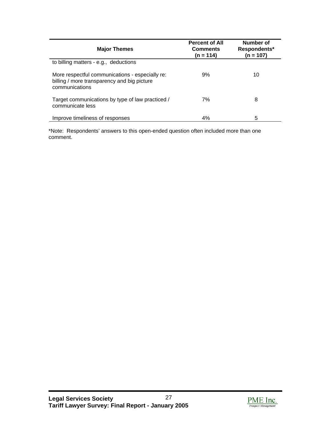| <b>Major Themes</b>                                                                                              | <b>Percent of All</b><br><b>Comments</b><br>(n = 114) | Number of<br>Respondents*<br>$(n = 107)$ |
|------------------------------------------------------------------------------------------------------------------|-------------------------------------------------------|------------------------------------------|
| to billing matters - e.g., deductions                                                                            |                                                       |                                          |
| More respectful communications - especially re:<br>billing / more transparency and big picture<br>communications | 9%                                                    | 10                                       |
| Target communications by type of law practiced /<br>communicate less                                             | 7%                                                    | 8                                        |
| Improve timeliness of responses                                                                                  | 4%                                                    | 5                                        |

\*Note: Respondents' answers to this open-ended question often included more than one comment.

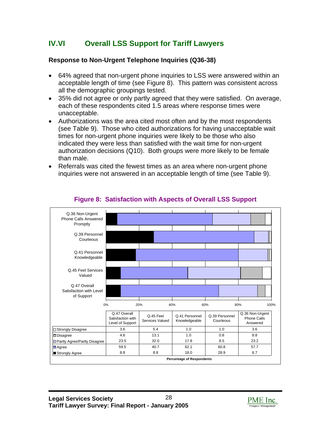## <span id="page-31-1"></span><span id="page-31-0"></span>**IV.VI Overall LSS Support for Tariff Lawyers**

#### **Response to Non-Urgent Telephone Inquiries (Q36-38)**

- 64% agreed that non-urgent phone inquiries to LSS were answered within an acceptable length of time (see Figure 8). This pattern was consistent across all the demographic groupings tested.
- 35% did not agree or only partly agreed that they were satisfied. On average, each of these respondents cited 1.5 areas where response times were unacceptable.
- Authorizations was the area cited most often and by the most respondents (see Table 9). Those who cited authorizations for having unacceptable wait times for non-urgent phone inquiries were likely to be those who also indicated they were less than satisfied with the wait time for non-urgent authorization decisions (Q10). Both groups were more likely to be female than male.
- Referrals was cited the fewest times as an area where non-urgent phone inquiries were not answered in an acceptable length of time (see Table 9).



### **Figure 8: Satisfaction with Aspects of Overall LSS Support**

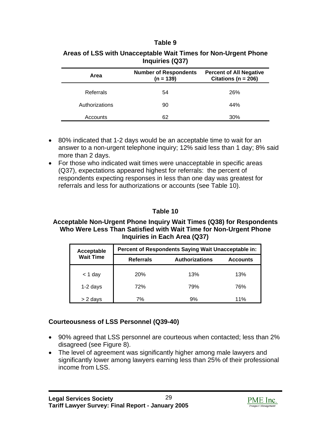#### **Table 9**

| Area           | <b>Number of Respondents</b><br>$(n = 139)$ | <b>Percent of All Negative</b><br>Citations ( $n = 206$ ) |
|----------------|---------------------------------------------|-----------------------------------------------------------|
| Referrals      | 54                                          | 26%                                                       |
| Authorizations | 90                                          | 44%                                                       |
| Accounts       | 62                                          | 30%                                                       |

#### <span id="page-32-1"></span><span id="page-32-0"></span>**Areas of LSS with Unacceptable Wait Times for Non-Urgent Phone Inquiries (Q37)**

- 80% indicated that 1-2 days would be an acceptable time to wait for an answer to a non-urgent telephone inquiry; 12% said less than 1 day; 8% said more than 2 days.
- For those who indicated wait times were unacceptable in specific areas (Q37), expectations appeared highest for referrals: the percent of respondents expecting responses in less than one day was greatest for referrals and less for authorizations or accounts (see Table 10).

## **Table 10**

#### **Acceptable Non-Urgent Phone Inquiry Wait Times (Q38) for Respondents Who Were Less Than Satisfied with Wait Time for Non-Urgent Phone Inquiries in Each Area (Q37)**

| Acceptable       | Percent of Respondents Saying Wait Unacceptable in: |                       |                 |
|------------------|-----------------------------------------------------|-----------------------|-----------------|
| <b>Wait Time</b> | <b>Referrals</b>                                    | <b>Authorizations</b> | <b>Accounts</b> |
| $<$ 1 day        | <b>20%</b>                                          | 13%                   | 13%             |
| 1-2 days         | 72%                                                 | 79%                   | 76%             |
| > 2 days         | 7%                                                  | 9%                    | 11%             |

### **Courteousness of LSS Personnel (Q39-40)**

- 90% agreed that LSS personnel are courteous when contacted; less than 2% disagreed (see Figure 8).
- The level of agreement was significantly higher among male lawyers and significantly lower among lawyers earning less than 25% of their professional income from LSS.

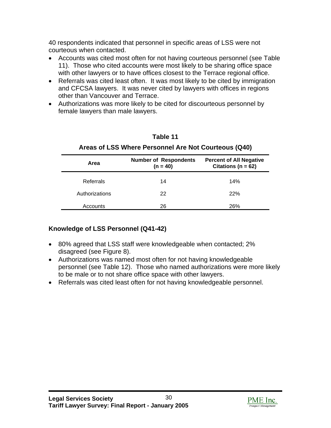<span id="page-33-0"></span>40 respondents indicated that personnel in specific areas of LSS were not courteous when contacted.

- Accounts was cited most often for not having courteous personnel (see Table 11). Those who cited accounts were most likely to be sharing office space with other lawyers or to have offices closest to the Terrace regional office.
- Referrals was cited least often. It was most likely to be cited by immigration and CFCSA lawyers. It was never cited by lawyers with offices in regions other than Vancouver and Terrace.
- Authorizations was more likely to be cited for discourteous personnel by female lawyers than male lawyers.

| Area           | <b>Number of Respondents</b><br>$(n = 40)$ | <b>Percent of All Negative</b><br>Citations ( $n = 62$ ) |
|----------------|--------------------------------------------|----------------------------------------------------------|
| Referrals      | 14                                         | 14%                                                      |
| Authorizations | 22                                         | 22%                                                      |
| Accounts       | 26                                         | 26%                                                      |

## **Table 11 Areas of LSS Where Personnel Are Not Courteous (Q40)**

## **Knowledge of LSS Personnel (Q41-42)**

- 80% agreed that LSS staff were knowledgeable when contacted; 2% disagreed (see Figure 8).
- Authorizations was named most often for not having knowledgeable personnel (see Table 12). Those who named authorizations were more likely to be male or to not share office space with other lawyers.
- Referrals was cited least often for not having knowledgeable personnel.

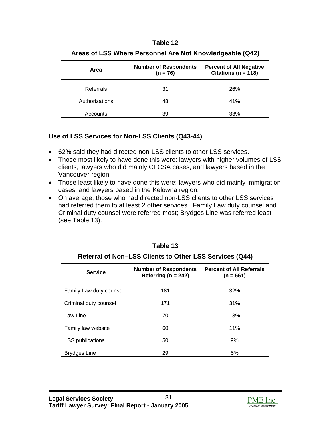#### **Table 12**

<span id="page-34-1"></span><span id="page-34-0"></span>

| Area           | <b>Number of Respondents</b><br>$(n = 76)$ | <b>Percent of All Negative</b><br>Citations ( $n = 118$ ) |
|----------------|--------------------------------------------|-----------------------------------------------------------|
| Referrals      | 31                                         | 26%                                                       |
| Authorizations | 48                                         | 41%                                                       |
| Accounts       | 39                                         | 33%                                                       |

#### **Areas of LSS Where Personnel Are Not Knowledgeable (Q42)**

#### **Use of LSS Services for Non-LSS Clients (Q43-44)**

- 62% said they had directed non-LSS clients to other LSS services.
- Those most likely to have done this were: lawyers with higher volumes of LSS clients, lawyers who did mainly CFCSA cases, and lawyers based in the Vancouver region.
- Those least likely to have done this were: lawyers who did mainly immigration cases, and lawyers based in the Kelowna region.
- On average, those who had directed non-LSS clients to other LSS services had referred them to at least 2 other services. Family Law duty counsel and Criminal duty counsel were referred most; Brydges Line was referred least (see Table 13).

| <b>Service</b>          | <b>Number of Respondents</b><br>Referring ( $n = 242$ ) | <b>Percent of All Referrals</b><br>$(n = 561)$ |
|-------------------------|---------------------------------------------------------|------------------------------------------------|
| Family Law duty counsel | 181                                                     | 32%                                            |
| Criminal duty counsel   | 171                                                     | 31%                                            |
| Law Line                | 70                                                      | 13%                                            |
| Family law website      | 60                                                      | 11%                                            |
| <b>LSS</b> publications | 50                                                      | 9%                                             |
| Brydges Line            | 29                                                      | 5%                                             |

### **Table 13**

#### **Referral of Non–LSS Clients to Other LSS Services (Q44)**

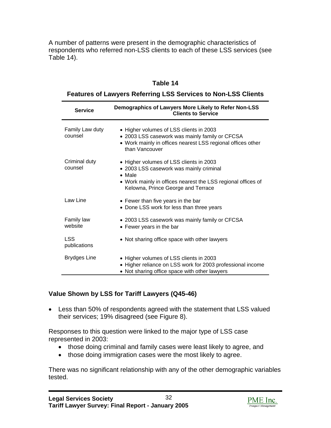<span id="page-35-1"></span><span id="page-35-0"></span>A number of patterns were present in the demographic characteristics of respondents who referred non-LSS clients to each of these LSS services (see Table 14).

#### **Table 14**

#### **Features of Lawyers Referring LSS Services to Non-LSS Clients**

| <b>Service</b>             | Demographics of Lawyers More Likely to Refer Non-LSS<br><b>Clients to Service</b>                                                                                                                          |
|----------------------------|------------------------------------------------------------------------------------------------------------------------------------------------------------------------------------------------------------|
| Family Law duty<br>counsel | • Higher volumes of LSS clients in 2003<br>• 2003 LSS casework was mainly family or CFCSA<br>• Work mainly in offices nearest LSS regional offices other<br>than Vancouver                                 |
| Criminal duty<br>counsel   | • Higher volumes of LSS clients in 2003<br>• 2003 LSS casework was mainly criminal<br>$\bullet$ Male<br>• Work mainly in offices nearest the LSS regional offices of<br>Kelowna, Prince George and Terrace |
| Law Line                   | • Fewer than five years in the bar<br>• Done LSS work for less than three years                                                                                                                            |
| Family law<br>website      | • 2003 LSS casework was mainly family or CFCSA<br>• Fewer years in the bar                                                                                                                                 |
| <b>LSS</b><br>publications | • Not sharing office space with other lawyers                                                                                                                                                              |
| <b>Brydges Line</b>        | • Higher volumes of LSS clients in 2003<br>• Higher reliance on LSS work for 2003 professional income<br>• Not sharing office space with other lawyers                                                     |

### **Value Shown by LSS for Tariff Lawyers (Q45-46)**

• Less than 50% of respondents agreed with the statement that LSS valued their services; 19% disagreed (see Figure 8).

Responses to this question were linked to the major type of LSS case represented in 2003:

- those doing criminal and family cases were least likely to agree, and
- those doing immigration cases were the most likely to agree.

There was no significant relationship with any of the other demographic variables tested.

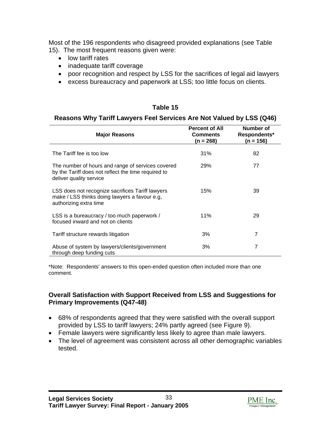Most of the 196 respondents who disagreed provided explanations (see Table 15). The most frequent reasons given were:

- low tariff rates
- inadequate tariff coverage
- poor recognition and respect by LSS for the sacrifices of legal aid lawyers
- excess bureaucracy and paperwork at LSS; too little focus on clients.

## **Table 15**

## **Reasons Why Tariff Lawyers Feel Services Are Not Valued by LSS (Q46)**

| <b>Major Reasons</b>                                                                                                                | <b>Percent of All</b><br><b>Comments</b><br>$(n = 268)$ | Number of<br>Respondents*<br>$(n = 156)$ |
|-------------------------------------------------------------------------------------------------------------------------------------|---------------------------------------------------------|------------------------------------------|
| The Tariff fee is too low                                                                                                           | 31%                                                     | 82                                       |
| The number of hours and range of services covered<br>by the Tariff does not reflect the time required to<br>deliver quality service | 29%                                                     | 77                                       |
| LSS does not recognize sacrifices Tariff lawyers<br>make / LSS thinks doing lawyers a favour e.g.<br>authorizing extra time         | 15%                                                     | 39                                       |
| LSS is a bureaucracy / too much paperwork /<br>focused inward and not on clients                                                    | 11%                                                     | 29                                       |
| Tariff structure rewards litigation                                                                                                 | 3%                                                      | 7                                        |
| Abuse of system by lawyers/clients/government<br>through deep funding cuts                                                          | 3%                                                      | 7                                        |

\*Note: Respondents' answers to this open-ended question often included more than one comment.

#### **Overall Satisfaction with Support Received from LSS and Suggestions for Primary Improvements (Q47-48)**

- 68% of respondents agreed that they were satisfied with the overall support provided by LSS to tariff lawyers; 24% partly agreed (see Figure 9).
- Female lawyers were significantly less likely to agree than male lawyers.
- The level of agreement was consistent across all other demographic variables tested.

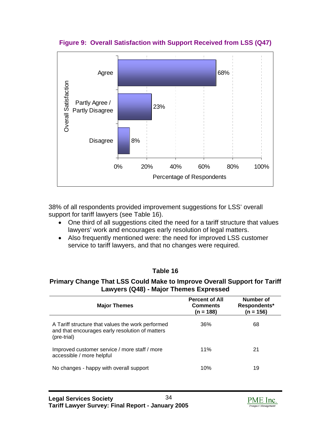

**Figure 9: Overall Satisfaction with Support Received from LSS (Q47)** 

38% of all respondents provided improvement suggestions for LSS' overall support for tariff lawyers (see Table 16).

- One third of all suggestions cited the need for a tariff structure that values lawyers' work and encourages early resolution of legal matters.
- Also frequently mentioned were: the need for improved LSS customer service to tariff lawyers, and that no changes were required.

## **Table 16**

#### **Primary Change That LSS Could Make to Improve Overall Support for Tariff Lawyers (Q48) - Major Themes Expressed**

| <b>Major Themes</b>                                                                                                 | <b>Percent of All</b><br><b>Comments</b><br>(n = 188) | Number of<br>Respondents*<br>$(n = 156)$ |
|---------------------------------------------------------------------------------------------------------------------|-------------------------------------------------------|------------------------------------------|
| A Tariff structure that values the work performed<br>and that encourages early resolution of matters<br>(pre-trial) | 36%                                                   | 68                                       |
| Improved customer service / more staff / more<br>accessible / more helpful                                          | 11%                                                   | 21                                       |
| No changes - happy with overall support                                                                             | 10%                                                   | 19                                       |

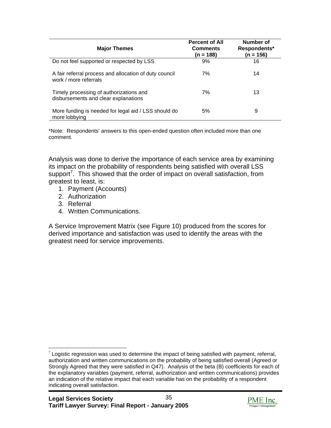| <b>Major Themes</b>                                                             | <b>Percent of All</b><br><b>Comments</b><br>(n = 188) | Number of<br>Respondents*<br>$(n = 156)$ |
|---------------------------------------------------------------------------------|-------------------------------------------------------|------------------------------------------|
| Do not feel supported or respected by LSS                                       | 9%                                                    | 16                                       |
| A fair referral process and allocation of duty council<br>work / more referrals | 7%                                                    | 14                                       |
| Timely processing of authorizations and<br>disbursements and clear explanations | 7%                                                    | 13                                       |
| More funding is needed for legal aid / LSS should do<br>more lobbying           | 5%                                                    | 9                                        |

\*Note: Respondents' answers to this open-ended question often included more than one comment.

Analysis was done to derive the importance of each service area by examining its impact on the probability of respondents being satisfied with overall LSS support<sup>[7](#page-38-0)</sup>. This showed that the order of impact on overall satisfaction, from greatest to least, is:

- 1. Payment (Accounts)
- 2. Authorization
- 3. Referral
- 4. Written Communications.

A Service Improvement Matrix (see Figure 10) produced from the scores for derived importance and satisfaction was used to identify the areas with the greatest need for service improvements.



<span id="page-38-0"></span> $7$  Logistic regression was used to determine the impact of being satisfied with payment, referral, authorization and written communications on the probability of being satisfied overall (Agreed or Strongly Agreed that they were satisfied in Q47). Analysis of the beta (B) coefficients for each of the explanatory variables (payment, referral, authorization and written communications) provides an indication of the relative impact that each variable has on the probability of a respondent indicating overall satisfaction.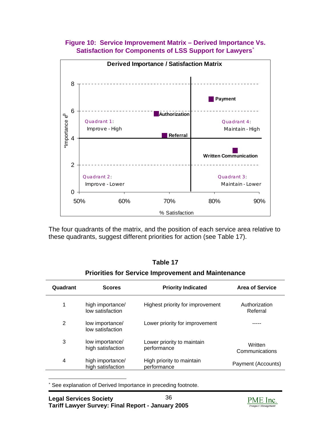



The four quadrants of the matrix, and the position of each service area relative to these quadrants, suggest different priorities for action (see Table 17).

|  |  | <b>Priorities for Service Improvement and Maintenance</b> |  |
|--|--|-----------------------------------------------------------|--|
|  |  |                                                           |  |

| Quadrant | <b>Scores</b>                         | <b>Priority Indicated</b>                 | <b>Area of Service</b>    |
|----------|---------------------------------------|-------------------------------------------|---------------------------|
| 1        | high importance/<br>low satisfaction  | Highest priority for improvement          | Authorization<br>Referral |
| 2        | low importance/<br>low satisfaction   | Lower priority for improvement            |                           |
| 3        | low importance/<br>high satisfaction  | Lower priority to maintain<br>performance | Written<br>Communications |
| 4        | high importance/<br>high satisfaction | High priority to maintain<br>performance  | Payment (Accounts)        |

<span id="page-39-0"></span> $\overline{\phantom{a}}$ ∗ See explanation of Derived Importance in preceding footnote.

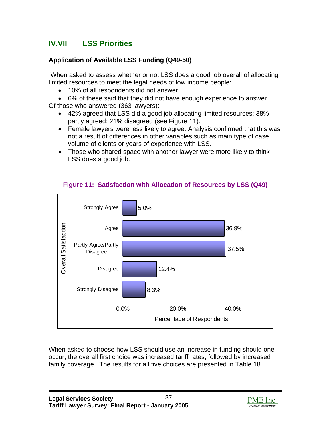# **IV.VII LSS Priorities**

# **Application of Available LSS Funding (Q49-50)**

 When asked to assess whether or not LSS does a good job overall of allocating limited resources to meet the legal needs of low income people:

• 10% of all respondents did not answer

• 6% of these said that they did not have enough experience to answer.

Of those who answered (363 lawyers):

- 42% agreed that LSS did a good job allocating limited resources; 38% partly agreed; 21% disagreed (see Figure 11).
- Female lawyers were less likely to agree. Analysis confirmed that this was not a result of differences in other variables such as main type of case, volume of clients or years of experience with LSS.
- Those who shared space with another lawyer were more likely to think LSS does a good job.



# **Figure 11: Satisfaction with Allocation of Resources by LSS (Q49)**

When asked to choose how LSS should use an increase in funding should one occur, the overall first choice was increased tariff rates, followed by increased family coverage. The results for all five choices are presented in Table 18.

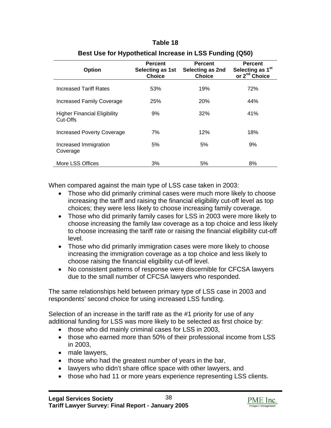#### **Table 18**

| <b>Option</b>                                   | <b>Percent</b><br>Selecting as 1st<br><b>Choice</b> | <b>Percent</b><br>Selecting as 2nd<br><b>Choice</b> | <b>Percent</b><br>Selecting as 1 <sup>st</sup><br>or 2 <sup>nd</sup> Choice |
|-------------------------------------------------|-----------------------------------------------------|-----------------------------------------------------|-----------------------------------------------------------------------------|
| <b>Increased Tariff Rates</b>                   | 53%                                                 | 19%                                                 | 72%                                                                         |
| Increased Family Coverage                       | 25%                                                 | 20%                                                 | 44%                                                                         |
| <b>Higher Financial Eligibility</b><br>Cut-Offs | 9%                                                  | 32%                                                 | 41%                                                                         |
| Increased Poverty Coverage                      | 7%                                                  | 12%                                                 | 18%                                                                         |
| Increased Immigration<br>Coverage               | 5%                                                  | 5%                                                  | 9%                                                                          |
| More LSS Offices                                | 3%                                                  | 5%                                                  | 8%                                                                          |

## **Best Use for Hypothetical Increase in LSS Funding (Q50)**

When compared against the main type of LSS case taken in 2003:

- Those who did primarily criminal cases were much more likely to choose increasing the tariff and raising the financial eligibility cut-off level as top choices; they were less likely to choose increasing family coverage.
- Those who did primarily family cases for LSS in 2003 were more likely to choose increasing the family law coverage as a top choice and less likely to choose increasing the tariff rate or raising the financial eligibility cut-off level.
- Those who did primarily immigration cases were more likely to choose increasing the immigration coverage as a top choice and less likely to choose raising the financial eligibility cut-off level.
- No consistent patterns of response were discernible for CFCSA lawyers due to the small number of CFCSA lawyers who responded.

The same relationships held between primary type of LSS case in 2003 and respondents' second choice for using increased LSS funding.

Selection of an increase in the tariff rate as the #1 priority for use of any additional funding for LSS was more likely to be selected as first choice by:

- those who did mainly criminal cases for LSS in 2003,
- those who earned more than 50% of their professional income from LSS in 2003,
- male lawyers,
- those who had the greatest number of years in the bar,
- lawyers who didn't share office space with other lawyers, and
- those who had 11 or more years experience representing LSS clients.

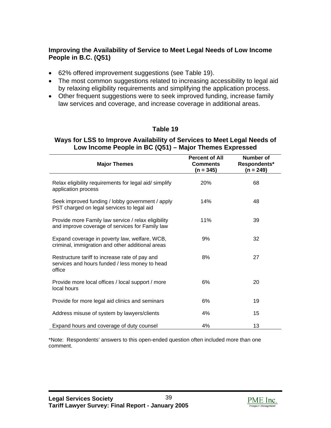# **Improving the Availability of Service to Meet Legal Needs of Low Income People in B.C. (Q51)**

- 62% offered improvement suggestions (see Table 19).
- The most common suggestions related to increasing accessibility to legal aid by relaxing eligibility requirements and simplifying the application process.
- Other frequent suggestions were to seek improved funding, increase family law services and coverage, and increase coverage in additional areas.

## **Table 19**

#### **Ways for LSS to Improve Availability of Services to Meet Legal Needs of Low Income People in BC (Q51) – Major Themes Expressed**

| <b>Major Themes</b>                                                                                        | <b>Percent of All</b><br><b>Comments</b><br>(n = 345) | <b>Number of</b><br>Respondents*<br>(n = 249) |
|------------------------------------------------------------------------------------------------------------|-------------------------------------------------------|-----------------------------------------------|
| Relax eligibility requirements for legal aid/simplify<br>application process                               | 20%                                                   | 68                                            |
| Seek improved funding / lobby government / apply<br>PST charged on legal services to legal aid             | 14%                                                   | 48                                            |
| Provide more Family law service / relax eligibility<br>and improve coverage of services for Family law     | 11%                                                   | 39                                            |
| Expand coverage in poverty law, welfare, WCB,<br>criminal, immigration and other additional areas          | 9%                                                    | 32                                            |
| Restructure tariff to increase rate of pay and<br>services and hours funded / less money to head<br>office | 8%                                                    | 27                                            |
| Provide more local offices / local support / more<br>local hours                                           | 6%                                                    | 20                                            |
| Provide for more legal aid clinics and seminars                                                            | 6%                                                    | 19                                            |
| Address misuse of system by lawyers/clients                                                                | 4%                                                    | 15                                            |
| Expand hours and coverage of duty counsel                                                                  | 4%                                                    | 13                                            |

\*Note: Respondents' answers to this open-ended question often included more than one comment.

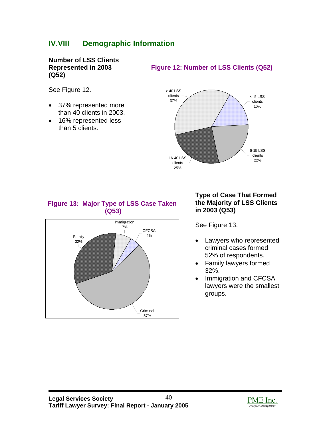# **IV.VIII Demographic Information**

**Number of LSS Clients Represented in 2003 (Q52)** 

See Figure 12.

- 37% represented more than 40 clients in 2003.
- 16% represented less than 5 clients.

## **Figure 12: Number of LSS Clients (Q52)**



# **Figure 13: Major Type of LSS Case Taken (Q53)**



## **Type of Case That Formed the Majority of LSS Clients in 2003 (Q53)**

See Figure 13.

- Lawyers who represented criminal cases formed 52% of respondents.
- Family lawyers formed 32%.
- Immigration and CFCSA lawyers were the smallest groups.

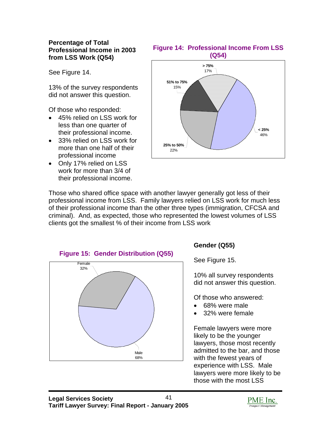#### **Percentage of Total Professional Income in 2003 from LSS Work (Q54)**

See Figure 14.

13% of the survey respondents did not answer this question.

Of those who responded:

- 45% relied on LSS work for less than one quarter of their professional income.
- 33% relied on LSS work for more than one half of their professional income
- Only 17% relied on LSS work for more than 3/4 of their professional income.

### **Figure 14: Professional Income From LSS (Q54)**



Those who shared office space with another lawyer generally got less of their professional income from LSS. Family lawyers relied on LSS work for much less of their professional income than the other three types (immigration, CFCSA and criminal). And, as expected, those who represented the lowest volumes of LSS clients got the smallest % of their income from LSS work



# **Gender (Q55)**

See Figure 15.

10% all survey respondents did not answer this question.

Of those who answered:

- 68% were male
- 32% were female

Female lawyers were more likely to be the younger lawyers, those most recently admitted to the bar, and those with the fewest years of experience with LSS. Male lawyers were more likely to be those with the most LSS

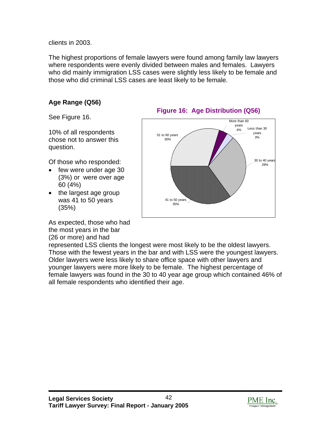clients in 2003.

The highest proportions of female lawyers were found among family law lawyers where respondents were evenly divided between males and females. Lawyers who did mainly immigration LSS cases were slightly less likely to be female and those who did criminal LSS cases are least likely to be female.

# **Age Range (Q56)**

See Figure 16.

10% of all respondents chose not to answer this question.

Of those who responded:

- few were under age 30 (3%) or were over age 60 (4%)
- the largest age group was 41 to 50 years (35%)

As expected, those who had the most years in the bar (26 or more) and had





represented LSS clients the longest were most likely to be the oldest lawyers. Those with the fewest years in the bar and with LSS were the youngest lawyers. Older lawyers were less likely to share office space with other lawyers and younger lawyers were more likely to be female. The highest percentage of female lawyers was found in the 30 to 40 year age group which contained 46% of all female respondents who identified their age.

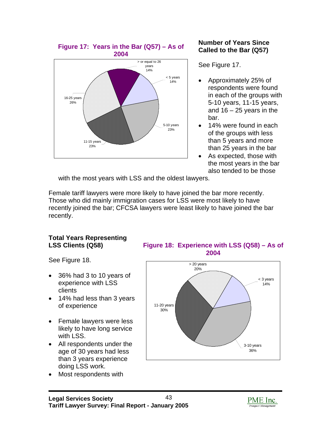

## **Number of Years Since Called to the Bar (Q57)**

See Figure 17.

- Approximately 25% of respondents were found in each of the groups with 5-10 years, 11-15 years, and  $16 - 25$  years in the bar.
- 14% were found in each of the groups with less than 5 years and more than 25 years in the bar
- As expected, those with the most years in the bar also tended to be those

with the most years with LSS and the oldest lawyers.

Female tariff lawyers were more likely to have joined the bar more recently. Those who did mainly immigration cases for LSS were most likely to have recently joined the bar; CFCSA lawyers were least likely to have joined the bar recently.

# **Total Years Representing**

See Figure 18.

- 36% had 3 to 10 years of experience with LSS clients
- 14% had less than 3 years of experience
- Female lawyers were less likely to have long service with LSS.
- All respondents under the age of 30 years had less than 3 years experience doing LSS work.
- Most respondents with

**LSS Clients (Q58) Figure 18: Experience with LSS (Q58) – As of 2004** 



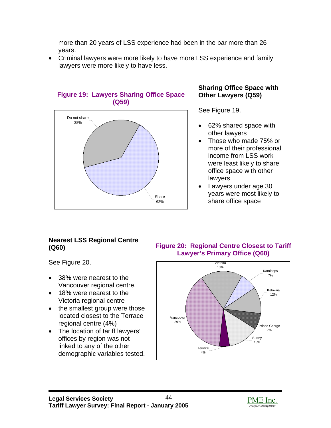more than 20 years of LSS experience had been in the bar more than 26 years.

• Criminal lawyers were more likely to have more LSS experience and family lawyers were more likely to have less.



## **Figure 19: Lawyers Sharing Office Space (Q59)**

# **Sharing Office Space with Other Lawyers (Q59)**

See Figure 19.

- 62% shared space with other lawyers
- Those who made 75% or more of their professional income from LSS work were least likely to share office space with other lawyers
- Lawyers under age 30 years were most likely to share office space

# **Nearest LSS Regional Centre**

See Figure 20.

- 38% were nearest to the Vancouver regional centre.
- 18% were nearest to the Victoria regional centre
- the smallest group were those located closest to the Terrace regional centre (4%)
- The location of tariff lawyers' offices by region was not linked to any of the other demographic variables tested.

**(Q60) Figure 20: Regional Centre Closest to Tariff Lawyer's Primary Office (Q60)** 



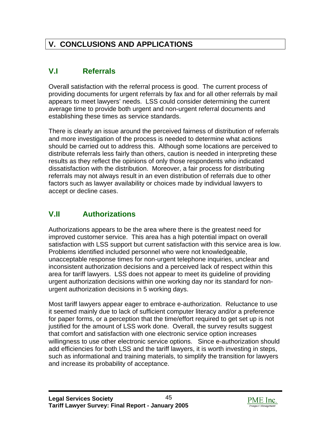# **V. CONCLUSIONS AND APPLICATIONS**

# **V.I Referrals**

Overall satisfaction with the referral process is good. The current process of providing documents for urgent referrals by fax and for all other referrals by mail appears to meet lawyers' needs. LSS could consider determining the current average time to provide both urgent and non-urgent referral documents and establishing these times as service standards.

There is clearly an issue around the perceived fairness of distribution of referrals and more investigation of the process is needed to determine what actions should be carried out to address this. Although some locations are perceived to distribute referrals less fairly than others, caution is needed in interpreting these results as they reflect the opinions of only those respondents who indicated dissatisfaction with the distribution. Moreover, a fair process for distributing referrals may not always result in an even distribution of referrals due to other factors such as lawyer availability or choices made by individual lawyers to accept or decline cases.

# **V.II Authorizations**

Authorizations appears to be the area where there is the greatest need for improved customer service. This area has a high potential impact on overall satisfaction with LSS support but current satisfaction with this service area is low. Problems identified included personnel who were not knowledgeable, unacceptable response times for non-urgent telephone inquiries, unclear and inconsistent authorization decisions and a perceived lack of respect within this area for tariff lawyers. LSS does not appear to meet its guideline of providing urgent authorization decisions within one working day nor its standard for nonurgent authorization decisions in 5 working days.

Most tariff lawyers appear eager to embrace e-authorization. Reluctance to use it seemed mainly due to lack of sufficient computer literacy and/or a preference for paper forms, or a perception that the time/effort required to get set up is not justified for the amount of LSS work done. Overall, the survey results suggest that comfort and satisfaction with one electronic service option increases willingness to use other electronic service options. Since e-authorization should add efficiencies for both LSS and the tariff lawyers, it is worth investing in steps, such as informational and training materials, to simplify the transition for lawyers and increase its probability of acceptance.

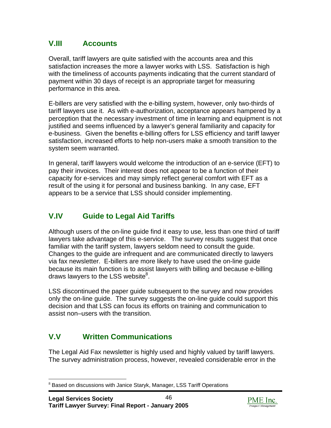# **V.III Accounts**

Overall, tariff lawyers are quite satisfied with the accounts area and this satisfaction increases the more a lawyer works with LSS. Satisfaction is high with the timeliness of accounts payments indicating that the current standard of payment within 30 days of receipt is an appropriate target for measuring performance in this area.

E-billers are very satisfied with the e-billing system, however, only two-thirds of tariff lawyers use it. As with e-authorization, acceptance appears hampered by a perception that the necessary investment of time in learning and equipment is not justified and seems influenced by a lawyer's general familiarity and capacity for e-business. Given the benefits e-billing offers for LSS efficiency and tariff lawyer satisfaction, increased efforts to help non-users make a smooth transition to the system seem warranted.

In general, tariff lawyers would welcome the introduction of an e-service (EFT) to pay their invoices. Their interest does not appear to be a function of their capacity for e-services and may simply reflect general comfort with EFT as a result of the using it for personal and business banking. In any case, EFT appears to be a service that LSS should consider implementing.

# **V.IV Guide to Legal Aid Tariffs**

Although users of the on-line guide find it easy to use, less than one third of tariff lawyers take advantage of this e-service. The survey results suggest that once familiar with the tariff system, lawyers seldom need to consult the guide. Changes to the guide are infrequent and are communicated directly to lawyers via fax newsletter. E-billers are more likely to have used the on-line guide because its main function is to assist lawyers with billing and because e-billing draws lawyers to the LSS website $^8$  $^8$ .

LSS discontinued the paper guide subsequent to the survey and now provides only the on-line guide. The survey suggests the on-line guide could support this decision and that LSS can focus its efforts on training and communication to assist non–users with the transition.

# **V.V Written Communications**

The Legal Aid Fax newsletter is highly used and highly valued by tariff lawyers. The survey administration process, however, revealed considerable error in the



<span id="page-49-0"></span><sup>&</sup>lt;sup>8</sup> Based on discussions with Janice Staryk, Manager, LSS Tariff Operations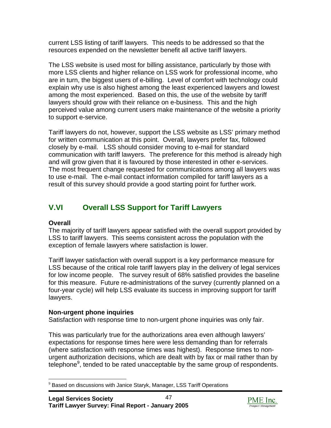current LSS listing of tariff lawyers. This needs to be addressed so that the resources expended on the newsletter benefit all active tariff lawyers.

The LSS website is used most for billing assistance, particularly by those with more LSS clients and higher reliance on LSS work for professional income, who are in turn, the biggest users of e-billing. Level of comfort with technology could explain why use is also highest among the least experienced lawyers and lowest among the most experienced. Based on this, the use of the website by tariff lawyers should grow with their reliance on e-business. This and the high perceived value among current users make maintenance of the website a priority to support e-service.

Tariff lawyers do not, however, support the LSS website as LSS' primary method for written communication at this point. Overall, lawyers prefer fax, followed closely by e-mail. LSS should consider moving to e-mail for standard communication with tariff lawyers. The preference for this method is already high and will grow given that it is favoured by those interested in other e-services. The most frequent change requested for communications among all lawyers was to use e-mail. The e-mail contact information compiled for tariff lawyers as a result of this survey should provide a good starting point for further work.

# **V.VI Overall LSS Support for Tariff Lawyers**

# **Overall**

The majority of tariff lawyers appear satisfied with the overall support provided by LSS to tariff lawyers. This seems consistent across the population with the exception of female lawyers where satisfaction is lower.

Tariff lawyer satisfaction with overall support is a key performance measure for LSS because of the critical role tariff lawyers play in the delivery of legal services for low income people. The survey result of 68% satisfied provides the baseline for this measure. Future re-administrations of the survey (currently planned on a four-year cycle) will help LSS evaluate its success in improving support for tariff lawyers.

# **Non-urgent phone inquiries**

Satisfaction with response time to non-urgent phone inquiries was only fair.

This was particularly true for the authorizations area even although lawyers' expectations for response times here were less demanding than for referrals (where satisfaction with response times was highest). Response times to nonurgent authorization decisions, which are dealt with by fax or mail rather than by telephone<sup>[9](#page-50-0)</sup>, tended to be rated unacceptable by the same group of respondents.



<span id="page-50-0"></span><sup>&</sup>lt;sup>9</sup> Based on discussions with Janice Staryk, Manager, LSS Tariff Operations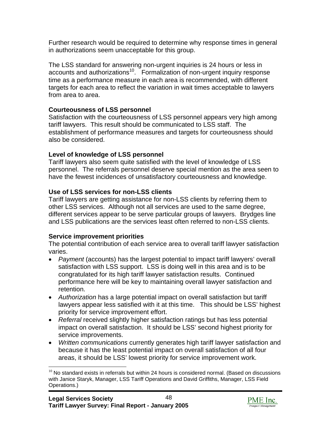Further research would be required to determine why response times in general in authorizations seem unacceptable for this group.

The LSS standard for answering non-urgent inquiries is 24 hours or less in accounts and authorizations<sup>10</sup>. Formalization of non-urgent inquiry response time as a performance measure in each area is recommended, with different targets for each area to reflect the variation in wait times acceptable to lawyers from area to area.

# **Courteousness of LSS personnel**

Satisfaction with the courteousness of LSS personnel appears very high among tariff lawyers. This result should be communicated to LSS staff. The establishment of performance measures and targets for courteousness should also be considered.

# **Level of knowledge of LSS personnel**

Tariff lawyers also seem quite satisfied with the level of knowledge of LSS personnel. The referrals personnel deserve special mention as the area seen to have the fewest incidences of unsatisfactory courteousness and knowledge.

# **Use of LSS services for non-LSS clients**

Tariff lawyers are getting assistance for non-LSS clients by referring them to other LSS services. Although not all services are used to the same degree, different services appear to be serve particular groups of lawyers. Brydges line and LSS publications are the services least often referred to non-LSS clients.

# **Service improvement priorities**

The potential contribution of each service area to overall tariff lawyer satisfaction varies.

- *Payment* (accounts) has the largest potential to impact tariff lawyers' overall satisfaction with LSS support. LSS is doing well in this area and is to be congratulated for its high tariff lawyer satisfaction results. Continued performance here will be key to maintaining overall lawyer satisfaction and retention.
- *Authorization* has a large potential impact on overall satisfaction but tariff lawyers appear less satisfied with it at this time. This should be LSS' highest priority for service improvement effort.
- *Referral* received slightly higher satisfaction ratings but has less potential impact on overall satisfaction. It should be LSS' second highest priority for service improvements.
- *Written communications* currently generates high tariff lawyer satisfaction and because it has the least potential impact on overall satisfaction of all four areas, it should be LSS' lowest priority for service improvement work.



<span id="page-51-0"></span> $10$  No standard exists in referrals but within 24 hours is considered normal. (Based on discussions with Janice Staryk, Manager, LSS Tariff Operations and David Griffiths, Manager, LSS Field Operations.)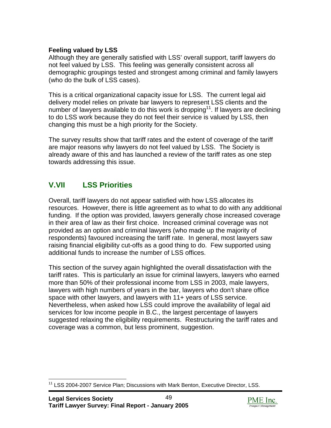# **Feeling valued by LSS**

Although they are generally satisfied with LSS' overall support, tariff lawyers do not feel valued by LSS. This feeling was generally consistent across all demographic groupings tested and strongest among criminal and family lawyers (who do the bulk of LSS cases).

This is a critical organizational capacity issue for LSS. The current legal aid delivery model relies on private bar lawyers to represent LSS clients and the number of lawyers available to do this work is dropping<sup>11</sup>. If lawyers are declining to do LSS work because they do not feel their service is valued by LSS, then changing this must be a high priority for the Society.

The survey results show that tariff rates and the extent of coverage of the tariff are major reasons why lawyers do not feel valued by LSS. The Society is already aware of this and has launched a review of the tariff rates as one step towards addressing this issue.

# **V.VII LSS Priorities**

Overall, tariff lawyers do not appear satisfied with how LSS allocates its resources. However, there is little agreement as to what to do with any additional funding. If the option was provided, lawyers generally chose increased coverage in their area of law as their first choice. Increased criminal coverage was not provided as an option and criminal lawyers (who made up the majority of respondents) favoured increasing the tariff rate. In general, most lawyers saw raising financial eligibility cut-offs as a good thing to do. Few supported using additional funds to increase the number of LSS offices.

This section of the survey again highlighted the overall dissatisfaction with the tariff rates. This is particularly an issue for criminal lawyers, lawyers who earned more than 50% of their professional income from LSS in 2003, male lawyers, lawyers with high numbers of years in the bar, lawyers who don't share office space with other lawyers, and lawyers with 11+ years of LSS service. Nevertheless, when asked how LSS could improve the availability of legal aid services for low income people in B.C., the largest percentage of lawyers suggested relaxing the eligibility requirements. Restructuring the tariff rates and coverage was a common, but less prominent, suggestion.



<span id="page-52-0"></span><sup>&</sup>lt;sup>11</sup> LSS 2004-2007 Service Plan; Discussions with Mark Benton, Executive Director, LSS.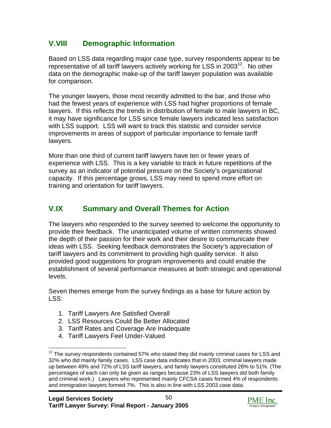# **V.VIII Demographic Information**

Based on LSS data regarding major case type, survey respondents appear to be representative of all tariff lawyers actively working for LSS in 2003<sup>12</sup>. No other data on the demographic make-up of the tariff lawyer population was available for comparison.

The younger lawyers, those most recently admitted to the bar, and those who had the fewest years of experience with LSS had higher proportions of female lawyers. If this reflects the trends in distribution of female to male lawyers in BC, it may have significance for LSS since female lawyers indicated less satisfaction with LSS support. LSS will want to track this statistic and consider service improvements in areas of support of particular importance to female tariff lawyers.

More than one third of current tariff lawyers have ten or fewer years of experience with LSS. This is a key variable to track in future repetitions of the survey as an indicator of potential pressure on the Society's organizational capacity. If this percentage grows, LSS may need to spend more effort on training and orientation for tariff lawyers.

# **V.IX Summary and Overall Themes for Action**

The lawyers who responded to the survey seemed to welcome the opportunity to provide their feedback. The unanticipated volume of written comments showed the depth of their passion for their work and their desire to communicate their ideas with LSS. Seeking feedback demonstrates the Society's appreciation of tariff lawyers and its commitment to providing high quality service. It also provided good suggestions for program improvements and could enable the establishment of several performance measures at both strategic and operational levels.

Seven themes emerge from the survey findings as a base for future action by LSS:

- 1. Tariff Lawyers Are Satisfied Overall
- 2. LSS Resources Could Be Better Allocated
- 3. Tariff Rates and Coverage Are Inadequate
- 4. Tariff Lawyers Feel Under-Valued



<span id="page-53-0"></span> $12$  The survey respondents contained 57% who stated they did mainly criminal cases for LSS and 32% who did mainly family cases. LSS case data indicates that in 2003, criminal lawyers made up between 49% and 72% of LSS tariff lawyers, and family lawyers constituted 28% to 51%. (The percentages of each can only be given as ranges because 23% of LSS lawyers did both family and criminal work.) Lawyers who represented mainly CFCSA cases formed 4% of respondents and immigration lawyers formed 7%. This is also in line with LSS 2003 case data.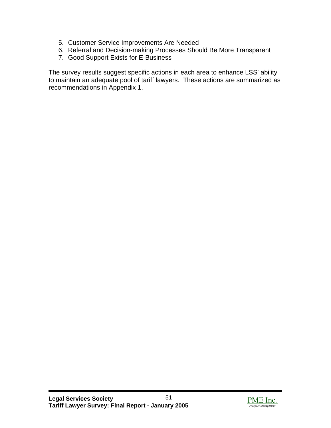- 5. Customer Service Improvements Are Needed
- 6. Referral and Decision-making Processes Should Be More Transparent
- 7. Good Support Exists for E-Business

The survey results suggest specific actions in each area to enhance LSS' ability to maintain an adequate pool of tariff lawyers. These actions are summarized as recommendations in Appendix 1.

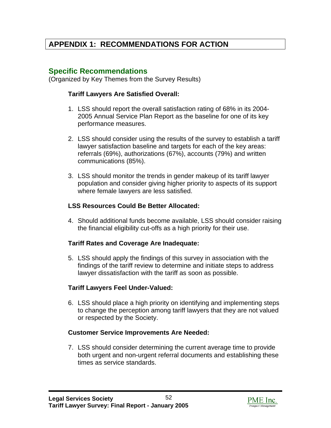# **APPENDIX 1: RECOMMENDATIONS FOR ACTION**

# **Specific Recommendations**

(Organized by Key Themes from the Survey Results)

### **Tariff Lawyers Are Satisfied Overall:**

- 1. LSS should report the overall satisfaction rating of 68% in its 2004- 2005 Annual Service Plan Report as the baseline for one of its key performance measures.
- 2. LSS should consider using the results of the survey to establish a tariff lawyer satisfaction baseline and targets for each of the key areas: referrals (69%), authorizations (67%), accounts (79%) and written communications (85%).
- 3. LSS should monitor the trends in gender makeup of its tariff lawyer population and consider giving higher priority to aspects of its support where female lawyers are less satisfied.

## **LSS Resources Could Be Better Allocated:**

4. Should additional funds become available, LSS should consider raising the financial eligibility cut-offs as a high priority for their use.

## **Tariff Rates and Coverage Are Inadequate:**

5. LSS should apply the findings of this survey in association with the findings of the tariff review to determine and initiate steps to address lawyer dissatisfaction with the tariff as soon as possible.

## **Tariff Lawyers Feel Under-Valued:**

6. LSS should place a high priority on identifying and implementing steps to change the perception among tariff lawyers that they are not valued or respected by the Society.

## **Customer Service Improvements Are Needed:**

7. LSS should consider determining the current average time to provide both urgent and non-urgent referral documents and establishing these times as service standards.

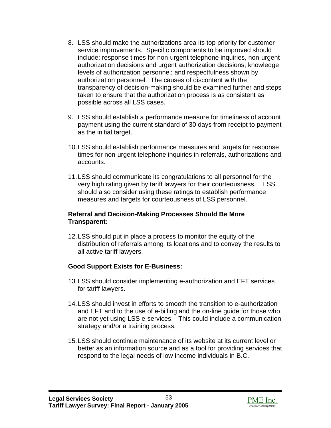- 8. LSS should make the authorizations area its top priority for customer service improvements. Specific components to be improved should include: response times for non-urgent telephone inquiries, non-urgent authorization decisions and urgent authorization decisions; knowledge levels of authorization personnel; and respectfulness shown by authorization personnel. The causes of discontent with the transparency of decision-making should be examined further and steps taken to ensure that the authorization process is as consistent as possible across all LSS cases.
- 9. LSS should establish a performance measure for timeliness of account payment using the current standard of 30 days from receipt to payment as the initial target.
- 10. LSS should establish performance measures and targets for response times for non-urgent telephone inquiries in referrals, authorizations and accounts.
- 11. LSS should communicate its congratulations to all personnel for the very high rating given by tariff lawyers for their courteousness. LSS should also consider using these ratings to establish performance measures and targets for courteousness of LSS personnel.

### **Referral and Decision-Making Processes Should Be More Transparent:**

12. LSS should put in place a process to monitor the equity of the distribution of referrals among its locations and to convey the results to all active tariff lawyers.

# **Good Support Exists for E-Business:**

- 13. LSS should consider implementing e-authorization and EFT services for tariff lawyers.
- 14. LSS should invest in efforts to smooth the transition to e-authorization and EFT and to the use of e-billing and the on-line guide for those who are not yet using LSS e-services. This could include a communication strategy and/or a training process.
- 15. LSS should continue maintenance of its website at its current level or better as an information source and as a tool for providing services that respond to the legal needs of low income individuals in B.C.

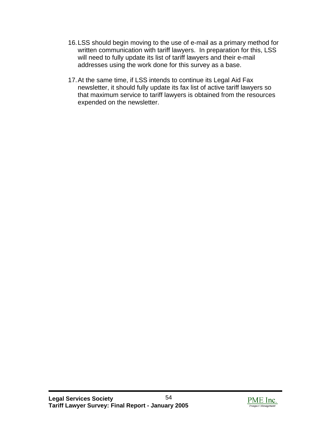- 16. LSS should begin moving to the use of e-mail as a primary method for written communication with tariff lawyers. In preparation for this, LSS will need to fully update its list of tariff lawyers and their e-mail addresses using the work done for this survey as a base.
- 17. At the same time, if LSS intends to continue its Legal Aid Fax newsletter, it should fully update its fax list of active tariff lawyers so that maximum service to tariff lawyers is obtained from the resources expended on the newsletter.

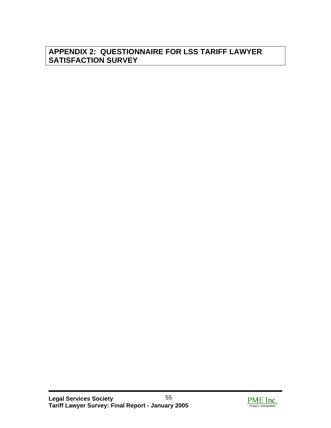# **APPENDIX 2: QUESTIONNAIRE FOR LSS TARIFF LAWYER SATISFACTION SURVEY**

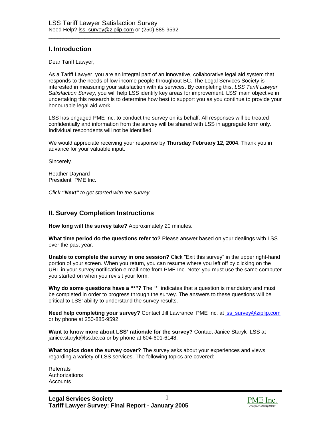## **I. Introduction**

Dear Tariff Lawyer,

As a Tariff Lawyer, you are an integral part of an innovative, collaborative legal aid system that responds to the needs of low income people throughout BC. The Legal Services Society is interested in measuring your satisfaction with its services. By completing this, *LSS Tariff Lawyer Satisfaction Survey*, you will help LSS identify key areas for improvement. LSS' main objective in undertaking this research is to determine how best to support you as you continue to provide your honourable legal aid work.

\_\_\_\_\_\_\_\_\_\_\_\_\_\_\_\_\_\_\_\_\_\_\_\_\_\_\_\_\_\_\_\_\_\_\_\_\_\_\_\_\_\_\_\_\_\_\_\_\_\_\_\_\_\_\_\_\_\_\_\_\_\_\_\_\_\_\_\_\_\_\_\_\_\_\_\_\_

LSS has engaged PME Inc. to conduct the survey on its behalf. All responses will be treated confidentially and information from the survey will be shared with LSS in aggregate form only. Individual respondents will not be identified.

We would appreciate receiving your response by **Thursday February 12, 2004**. Thank you in advance for your valuable input.

Sincerely.

Heather Daynard President PME Inc.

*Click "Next" to get started with the survey.* 

#### **II. Survey Completion Instructions**

**How long will the survey take?** Approximately 20 minutes.

**What time period do the questions refer to?** Please answer based on your dealings with LSS over the past year.

**Unable to complete the survey in one session?** Click "Exit this survey" in the upper right-hand portion of your screen. When you return, you can resume where you left off by clicking on the URL in your survey notification e-mail note from PME Inc. Note: you must use the same computer you started on when you revisit your form.

Why do some questions have a "\*"? The "\*" indicates that a question is mandatory and must be completed in order to progress through the survey. The answers to these questions will be critical to LSS' ability to understand the survey results.

**Need help completing your survey?** Contact Jill Lawrance PME Inc. at [lss\\_survey@ziplip.com](mailto:lss_survey@ziplip.com) or by phone at 250-885-9592.

**Want to know more about LSS' rationale for the survey?** Contact Janice Staryk LSS at janice.staryk@lss.bc.ca or by phone at 604-601-6148.

**What topics does the survey cover?** The survey asks about your experiences and views regarding a variety of LSS services. The following topics are covered:

**Referrals Authorizations Accounts** 

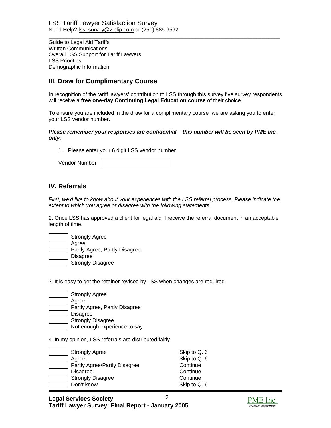Guide to Legal Aid Tariffs Written Communications Overall LSS Support for Tariff Lawyers LSS Priorities Demographic Information

### **III. Draw for Complimentary Course**

In recognition of the tariff lawyers' contribution to LSS through this survey five survey respondents will receive a **free one-day Continuing Legal Education course** of their choice.

\_\_\_\_\_\_\_\_\_\_\_\_\_\_\_\_\_\_\_\_\_\_\_\_\_\_\_\_\_\_\_\_\_\_\_\_\_\_\_\_\_\_\_\_\_\_\_\_\_\_\_\_\_\_\_\_\_\_\_\_\_\_\_\_\_\_\_\_\_\_\_\_\_\_\_\_\_

To ensure you are included in the draw for a complimentary course we are asking you to enter your LSS vendor number.

#### *Please remember your responses are confidential – this number will be seen by PME Inc. only.*

1. Please enter your 6 digit LSS vendor number.

#### **IV. Referrals**

*First, we'd like to know about your experiences with the LSS referral process. Please indicate the extent to which you agree or disagree with the following statements.*

2. Once LSS has approved a client for legal aid I receive the referral document in an acceptable length of time.

| <b>Strongly Agree</b>         |
|-------------------------------|
| Agree                         |
| Partly Agree, Partly Disagree |
| <b>Disagree</b>               |
| <b>Strongly Disagree</b>      |

3. It is easy to get the retainer revised by LSS when changes are required.

Strongly Agree Agree Partly Agree, Partly Disagree Disagree Strongly Disagree Not enough experience to say

4. In my opinion, LSS referrals are distributed fairly.

| <b>Strongly Agree</b>        | Skip to Q. 6 |
|------------------------------|--------------|
| Agree                        | Skip to Q. 6 |
| Partly Agree/Partly Disagree | Continue     |
| <b>Disagree</b>              | Continue     |
| <b>Strongly Disagree</b>     | Continue     |
| Don't know                   | Skip to Q. 6 |

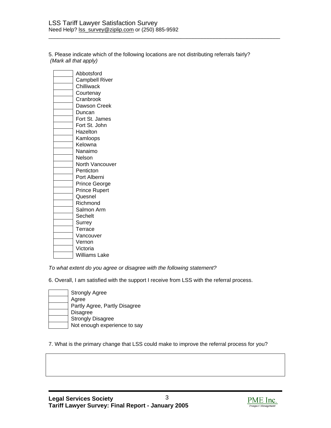5. Please indicate which of the following locations are not distributing referrals fairly? *(Mark all that apply)*

\_\_\_\_\_\_\_\_\_\_\_\_\_\_\_\_\_\_\_\_\_\_\_\_\_\_\_\_\_\_\_\_\_\_\_\_\_\_\_\_\_\_\_\_\_\_\_\_\_\_\_\_\_\_\_\_\_\_\_\_\_\_\_\_\_\_\_\_\_\_\_\_\_\_\_\_\_

| Abbotsford            |
|-----------------------|
| <b>Campbell River</b> |
| Chilliwack            |
| Courtenay             |
| Cranbrook             |
| Dawson Creek          |
| Duncan                |
| Fort St. James        |
| Fort St. John         |
| Hazelton              |
| Kamloops              |
| Kelowna               |
| Nanaimo               |
| Nelson                |
| North Vancouver       |
| Penticton             |
| Port Alberni          |
| Prince George         |
| <b>Prince Rupert</b>  |
| Quesnel               |
| Richmond              |
| Salmon Arm            |
| Sechelt               |
| Surrey                |
| Terrace               |
| Vancouver             |
| Vernon                |
| Victoria              |
| Williams Lake         |

*To what extent do you agree or disagree with the following statement?* 

6. Overall, I am satisfied with the support I receive from LSS with the referral process.

| <b>Strongly Agree</b>         |
|-------------------------------|
| Agree                         |
| Partly Agree, Partly Disagree |
| <b>Disagree</b>               |
| <b>Strongly Disagree</b>      |
| Not enough experience to say  |

7. What is the primary change that LSS could make to improve the referral process for you?

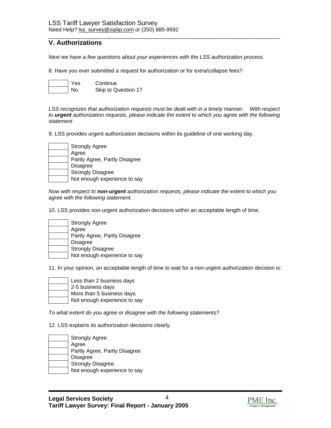#### \_\_\_\_\_\_\_\_\_\_\_\_\_\_\_\_\_\_\_\_\_\_\_\_\_\_\_\_\_\_\_\_\_\_\_\_\_\_\_\_\_\_\_\_\_\_\_\_\_\_\_\_\_\_\_\_\_\_\_\_\_\_\_\_\_\_\_\_\_\_\_\_\_\_\_\_\_ **V. Authorizations**

*Next we have a few questions about your experiences with the LSS authorization process.* 

8. Have you ever submitted a request for authorization or for extra/collapse fees?



*LSS recognizes that authorization requests must be dealt with in a timely manner. With respect to urgent authorization requests, please indicate the extent to which you agree with the following statement* 

9. LSS provides urgent authorization decisions within its guideline of one working day.

| <b>Strongly Agree</b>         |
|-------------------------------|
| Agree                         |
| Partly Agree, Partly Disagree |
| <b>Disagree</b>               |
| <b>Strongly Disagree</b>      |
| Not enough experience to say  |

*Now with respect to non-urgent authorization requests, please indicate the extent to which you agree with the following statement.* 

10. LSS provides non-urgent authorization decisions within an acceptable length of time.

| <b>Strongly Agree</b>         |
|-------------------------------|
| Agree                         |
| Partly Agree, Partly Disagree |
| <b>Disagree</b>               |
| <b>Strongly Disagree</b>      |
| Not enough experience to say  |

11. In your opinion, an acceptable length of time to wait for a non-urgent authorization decision is:

| Less than 2 business days    |
|------------------------------|
| 2-5 business days            |
| More than 5 business days    |
| Not enough experience to say |

*To what extent do you agree or disagree with the following statements?* 

12. LSS explains its authorization decisions clearly.

| <b>Strongly Agree</b>         |
|-------------------------------|
| Agree                         |
| Partly Agree, Partly Disagree |
| Disagree                      |
| <b>Strongly Disagree</b>      |
| Not enough experience to say  |

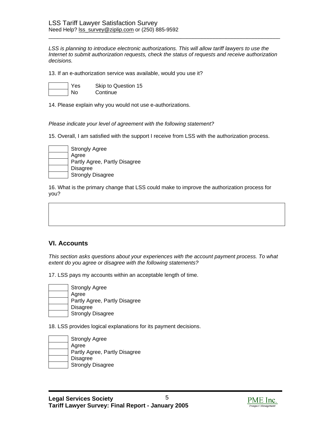LSS is planning to introduce electronic authorizations. This will allow tariff lawyers to use the *Internet to submit authorization requests, check the status of requests and receive authorization decisions.* 

\_\_\_\_\_\_\_\_\_\_\_\_\_\_\_\_\_\_\_\_\_\_\_\_\_\_\_\_\_\_\_\_\_\_\_\_\_\_\_\_\_\_\_\_\_\_\_\_\_\_\_\_\_\_\_\_\_\_\_\_\_\_\_\_\_\_\_\_\_\_\_\_\_\_\_\_\_

13. If an e-authorization service was available, would you use it?

Yes Skip to Question 15 No Continue

14. Please explain why you would not use e-authorizations.

*Please indicate your level of agreement with the following statement?* 

15. Overall, I am satisfied with the support I receive from LSS with the authorization process.



16. What is the primary change that LSS could make to improve the authorization process for you?

#### **VI. Accounts**

*This section asks questions about your experiences with the account payment process. To what extent do you agree or disagree with the following statements?* 

17. LSS pays my accounts within an acceptable length of time.



18. LSS provides logical explanations for its payment decisions.

| <b>Strongly Agree</b>         |
|-------------------------------|
| Agree                         |
| Partly Agree, Partly Disagree |
| <b>Disagree</b>               |
| <b>Strongly Disagree</b>      |

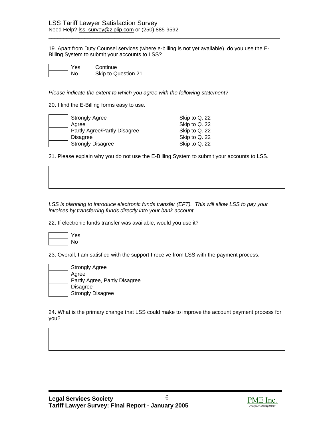19. Apart from Duty Counsel services (where e-billing is not yet available) do you use the E-Billing System to submit your accounts to LSS?

\_\_\_\_\_\_\_\_\_\_\_\_\_\_\_\_\_\_\_\_\_\_\_\_\_\_\_\_\_\_\_\_\_\_\_\_\_\_\_\_\_\_\_\_\_\_\_\_\_\_\_\_\_\_\_\_\_\_\_\_\_\_\_\_\_\_\_\_\_\_\_\_\_\_\_\_\_

es Continue Skip to Question 21

*Please indicate the extent to which you agree with the following statement?* 

20. I find the E-Billing forms easy to use.

| <b>Strongly Agree</b>        | Skip to Q. 22 |
|------------------------------|---------------|
| Agree                        | Skip to Q. 22 |
| Partly Agree/Partly Disagree | Skip to Q. 22 |
| <b>Disagree</b>              | Skip to Q. 22 |
| <b>Strongly Disagree</b>     | Skip to Q. 22 |

21. Please explain why you do not use the E-Billing System to submit your accounts to LSS.

*LSS is planning to introduce electronic funds transfer (EFT). This will allow LSS to pay your invoices by transferring funds directly into your bank account.* 

22. If electronic funds transfer was available, would you use it?



23. Overall, I am satisfied with the support I receive from LSS with the payment process.

| <b>Strongly Agree</b>         |
|-------------------------------|
| Agree                         |
| Partly Agree, Partly Disagree |
| Disagree                      |
| <b>Strongly Disagree</b>      |

24. What is the primary change that LSS could make to improve the account payment process for you?

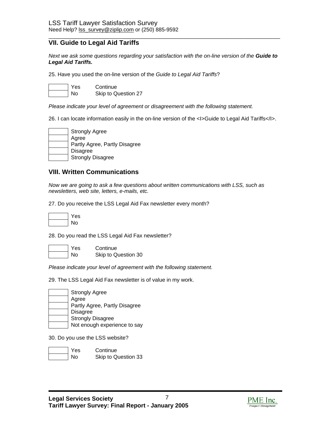#### **VII. Guide to Legal Aid Tariffs**

*Next we ask some questions regarding your satisfaction with the on-line version of the Guide to Legal Aid Tariffs.* 

\_\_\_\_\_\_\_\_\_\_\_\_\_\_\_\_\_\_\_\_\_\_\_\_\_\_\_\_\_\_\_\_\_\_\_\_\_\_\_\_\_\_\_\_\_\_\_\_\_\_\_\_\_\_\_\_\_\_\_\_\_\_\_\_\_\_\_\_\_\_\_\_\_\_\_\_\_

25. Have you used the on-line version of the *Guide to Legal Aid Tariffs*?

Yes Continue No Skip to Question 27

*Please indicate your level of agreement or disagreement with the following statement.* 

26. I can locate information easily in the on-line version of the <I>Guide to Legal Aid Tariffs</I>.



#### **VIII. Written Communications**

*Now we are going to ask a few questions about written communications with LSS, such as newsletters, web site, letters, e-mails, etc.*

27. Do you receive the LSS Legal Aid Fax newsletter every month?



28. Do you read the LSS Legal Aid Fax newsletter?

Yes Continue

No Skip to Question 30

*Please indicate your level of agreement with the following statement.* 

29. The LSS Legal Aid Fax newsletter is of value in my work.

Strongly Agree Agree Partly Agree, Partly Disagree Disagree Strongly Disagree Not enough experience to say

30. Do you use the LSS website?



Yes Continue No Skip to Question 33

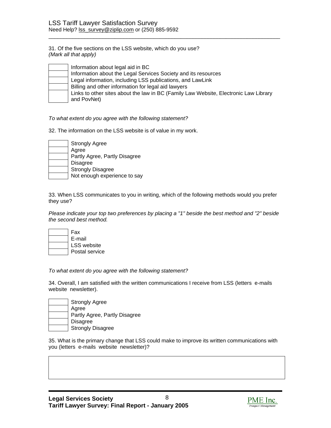31. Of the five sections on the LSS website, which do you use? *(Mark all that apply)* 

| Information about legal aid in BC                                                    |
|--------------------------------------------------------------------------------------|
| Information about the Legal Services Society and its resources                       |
| Legal information, including LSS publications, and LawLink                           |
| Billing and other information for legal aid lawyers                                  |
| Links to other sites about the law in BC (Family Law Website, Electronic Law Library |
| and PovNet)                                                                          |

\_\_\_\_\_\_\_\_\_\_\_\_\_\_\_\_\_\_\_\_\_\_\_\_\_\_\_\_\_\_\_\_\_\_\_\_\_\_\_\_\_\_\_\_\_\_\_\_\_\_\_\_\_\_\_\_\_\_\_\_\_\_\_\_\_\_\_\_\_\_\_\_\_\_\_\_\_

#### *To what extent do you agree with the following statement?*

32. The information on the LSS website is of value in my work.

| <b>Strongly Agree</b>         |
|-------------------------------|
| Agree                         |
| Partly Agree, Partly Disagree |
| <b>Disagree</b>               |
| <b>Strongly Disagree</b>      |
| Not enough experience to say  |

33. When LSS communicates to you in writing, which of the following methods would you prefer they use?

*Please indicate your top two preferences by placing a "1" beside the best method and "2" beside the second best method.* 

| Fax                |
|--------------------|
| E-mail             |
| <b>LSS</b> website |
| Postal service     |

*To what extent do you agree with the following statement?* 

34. Overall, I am satisfied with the written communications I receive from LSS (letters e-mails website newsletter).

Strongly Agree Agree Partly Agree, Partly Disagree Disagree Strongly Disagree

35. What is the primary change that LSS could make to improve its written communications with you (letters e-mails website newsletter)?

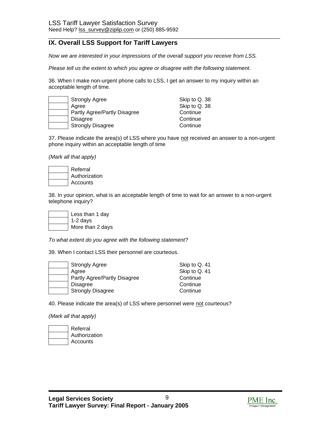## **IX. Overall LSS Support for Tariff Lawyers**

*Now we are interested in your impressions of the overall support you receive from LSS.* 

\_\_\_\_\_\_\_\_\_\_\_\_\_\_\_\_\_\_\_\_\_\_\_\_\_\_\_\_\_\_\_\_\_\_\_\_\_\_\_\_\_\_\_\_\_\_\_\_\_\_\_\_\_\_\_\_\_\_\_\_\_\_\_\_\_\_\_\_\_\_\_\_\_\_\_\_\_

*Please tell us the extent to which you agree or disagree with the following statement*.

36. When I make non-urgent phone calls to LSS, I get an answer to my inquiry within an acceptable length of time.

| <b>Strongly Agree</b> |                              | Skip to Q. 38 |
|-----------------------|------------------------------|---------------|
| Agree                 |                              | Skip to Q. 38 |
|                       | Partly Agree/Partly Disagree | Continue      |
| <b>Disagree</b>       |                              | Continue      |
|                       | <b>Strongly Disagree</b>     | Continue      |

37. Please indicate the area(s) of LSS where you have not received an answer to a non-urgent phone inquiry within an acceptable length of time

*(Mark all that apply)* 

| Referral      |
|---------------|
| Authorization |
| Accounts      |

38. In your opinion, what is an acceptable length of time to wait for an answer to a non-urgent telephone inquiry?



*To what extent do you agree with the following statement?* 

39. When I contact LSS their personnel are courteous.

| <b>Strongly Agree</b>        | Skip to Q. 41 |
|------------------------------|---------------|
| Agree                        | Skip to Q. 41 |
| Partly Agree/Partly Disagree | Continue      |
| <b>Disagree</b>              | Continue      |
| <b>Strongly Disagree</b>     | Continue      |

40. Please indicate the area(s) of LSS where personnel were not courteous?

*(Mark all that apply)* 

| Referral      |
|---------------|
| Authorization |
| Accounts      |

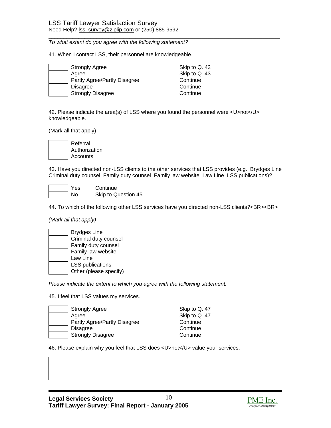*To what extent do you agree with the following statement?* 

41. When I contact LSS, their personnel are knowledgeable.

| <b>Strongly Agree</b>        | Skip to Q. 43 |
|------------------------------|---------------|
| Aaree                        | Skip to Q. 43 |
| Partly Agree/Partly Disagree | Continue      |
| <b>Disagree</b>              | Continue      |
| <b>Strongly Disagree</b>     | Continue      |

42. Please indicate the area(s) of LSS where you found the personnel were <U>not</U> knowledgeable.

\_\_\_\_\_\_\_\_\_\_\_\_\_\_\_\_\_\_\_\_\_\_\_\_\_\_\_\_\_\_\_\_\_\_\_\_\_\_\_\_\_\_\_\_\_\_\_\_\_\_\_\_\_\_\_\_\_\_\_\_\_\_\_\_\_\_\_\_\_\_\_\_\_\_\_\_\_

(Mark all that apply)

Referral Authorization Accounts

43. Have you directed non-LSS clients to the other services that LSS provides (e.g. Brydges Line Criminal duty counsel Family duty counsel Family law website Law Line LSS publications)?

| Yes | Continue            |
|-----|---------------------|
| No  | Skip to Question 45 |

44. To which of the following other LSS services have you directed non-LSS clients?<BR><BR>

*(Mark all that apply)* 

| <b>Brydges Line</b>    |
|------------------------|
| Criminal duty counsel  |
| Family duty counsel    |
| Family law website     |
| Law Line               |
| LSS publications       |
| Other (please specify) |

*Please indicate the extent to which you agree with the following statement.* 

45. I feel that LSS values my services.

|       | <b>Strongly Agree</b>        | Skip to Q. 47 |
|-------|------------------------------|---------------|
| Agree |                              | Skip to Q. 47 |
|       | Partly Agree/Partly Disagree | Continue      |
|       | <b>Disagree</b>              | Continue      |
|       | <b>Strongly Disagree</b>     | Continue      |

46. Please explain why you feel that LSS does <U>not</U> value your services.

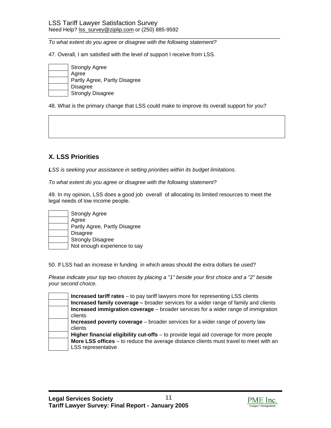*To what extent do you agree or disagree with the following statement?* 

47. Overall, I am satisfied with the level of support I receive from LSS.

| <b>Strongly Agree</b>         |
|-------------------------------|
| Agree                         |
| Partly Agree, Partly Disagree |
| Disagree                      |
| <b>Strongly Disagree</b>      |

48. What is the primary change that LSS could make to improve its overall support for you?

\_\_\_\_\_\_\_\_\_\_\_\_\_\_\_\_\_\_\_\_\_\_\_\_\_\_\_\_\_\_\_\_\_\_\_\_\_\_\_\_\_\_\_\_\_\_\_\_\_\_\_\_\_\_\_\_\_\_\_\_\_\_\_\_\_\_\_\_\_\_\_\_\_\_\_\_\_

# **X. LSS Priorities**

*LSS is seeking your assistance in setting priorities within its budget limitations.* 

*To what extent do you agree or disagree with the following statement?* 

49. In my opinion, LSS does a good job overall of allocating its limited resources to meet the legal needs of low income people.



50. If LSS had an increase in funding in which areas should the extra dollars be used?

*Please indicate your top two choices by placing a "1" beside your first choice and a "2" beside your second choice.*

| Increased tariff rates – to pay tariff lawyers more for representing LSS clients<br><b>Increased family coverage - broader services for a wider range of family and clients</b> |
|---------------------------------------------------------------------------------------------------------------------------------------------------------------------------------|
| Increased immigration coverage - broader services for a wider range of immigration                                                                                              |
| clients                                                                                                                                                                         |
| Increased poverty coverage - broader services for a wider range of poverty law                                                                                                  |
| clients                                                                                                                                                                         |
| Higher financial eligibility cut-offs – to provide legal aid coverage for more people                                                                                           |
| More LSS offices – to reduce the average distance clients must travel to meet with an                                                                                           |
| <b>LSS representative</b>                                                                                                                                                       |

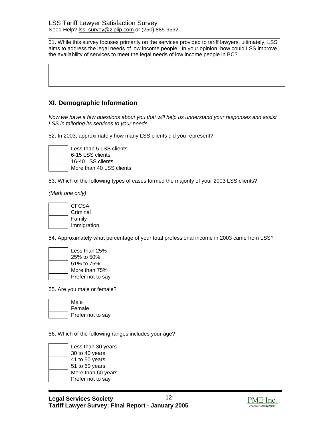\_\_\_\_\_\_\_\_\_\_\_\_\_\_\_\_\_\_\_\_\_\_\_\_\_\_\_\_\_\_\_\_\_\_\_\_\_\_\_\_\_\_\_\_\_\_\_\_\_\_\_\_\_\_\_\_\_\_\_\_\_\_\_\_\_\_\_\_\_\_\_\_\_\_\_\_\_ 51. While this survey focuses primarily on the services provided to tariff lawyers, ultimately, LSS aims to address the legal needs of low income people. In your opinion, how could LSS improve the availability of services to meet the legal needs of low income people in BC?

### **XI. Demographic Information**

*Now we have a few questions about you that will help us understand your responses and assist LSS in tailoring its services to your needs.* 

52. In 2003, approximately how many LSS clients did you represent?



Less than 5 LSS clients 6-15 LSS clients 16-40 LSS clients More than 40 LSS clients

53. Which of the following types of cases formed the majority of your 2003 LSS clients?

*(Mark one only)* 

| <b>CFCSA</b> |
|--------------|
| Criminal     |
| Family       |
| Immigration  |

54. Approximately what percentage of your total professional income in 2003 came from LSS?

| Less than 25%     |
|-------------------|
| 25% to 50%        |
| 51% to 75%        |
| More than 75%     |
| Prefer not to say |

55. Are you male or female?

| Male              |
|-------------------|
| Female            |
| Prefer not to say |

56. Which of the following ranges includes your age?

| Less than 30 years |
|--------------------|
| 30 to 40 years     |
| 41 to 50 years     |
| 51 to 60 years     |
| More than 60 years |
| Prefer not to say  |